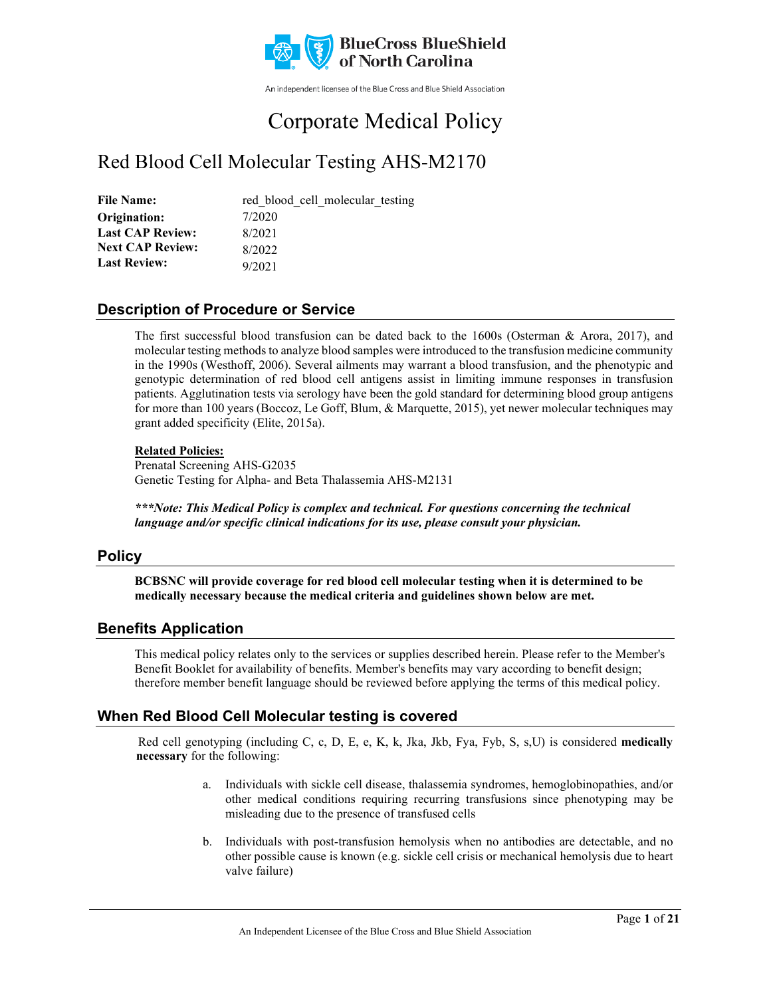

An independent licensee of the Blue Cross and Blue Shield Association

# Corporate Medical Policy

# Red Blood Cell Molecular Testing AHS-M2170

| <b>File Name:</b>       | red blood cell molecular testing |
|-------------------------|----------------------------------|
| Origination:            | 7/2020                           |
| <b>Last CAP Review:</b> | 8/2021                           |
| <b>Next CAP Review:</b> | 8/2022                           |
| <b>Last Review:</b>     | 9/2021                           |

### **Description of Procedure or Service**

The first successful blood transfusion can be dated back to the 1600s (Osterman & Arora, 2017), and molecular testing methods to analyze blood samples were introduced to the transfusion medicine community in the 1990s (Westhoff, 2006). Several ailments may warrant a blood transfusion, and the phenotypic and genotypic determination of red blood cell antigens assist in limiting immune responses in transfusion patients. Agglutination tests via serology have been the gold standard for determining blood group antigens for more than 100 years (Boccoz, Le Goff, Blum, & Marquette, 2015), yet newer molecular techniques may grant added specificity (Elite, 2015a).

#### **Related Policies:**

Prenatal Screening AHS-G2035 Genetic Testing for Alpha- and Beta Thalassemia AHS-M2131

*\*\*\*Note: This Medical Policy is complex and technical. For questions concerning the technical language and/or specific clinical indications for its use, please consult your physician.*

### **Policy**

**BCBSNC will provide coverage for red blood cell molecular testing when it is determined to be medically necessary because the medical criteria and guidelines shown below are met.**

### **Benefits Application**

This medical policy relates only to the services or supplies described herein. Please refer to the Member's Benefit Booklet for availability of benefits. Member's benefits may vary according to benefit design; therefore member benefit language should be reviewed before applying the terms of this medical policy.

### **When Red Blood Cell Molecular testing is covered**

Red cell genotyping (including C, c, D, E, e, K, k, Jka, Jkb, Fya, Fyb, S, s,U) is considered **medically necessary** for the following:

- a. Individuals with sickle cell disease, thalassemia syndromes, hemoglobinopathies, and/or other medical conditions requiring recurring transfusions since phenotyping may be misleading due to the presence of transfused cells
- b. Individuals with post-transfusion hemolysis when no antibodies are detectable, and no other possible cause is known (e.g. sickle cell crisis or mechanical hemolysis due to heart valve failure)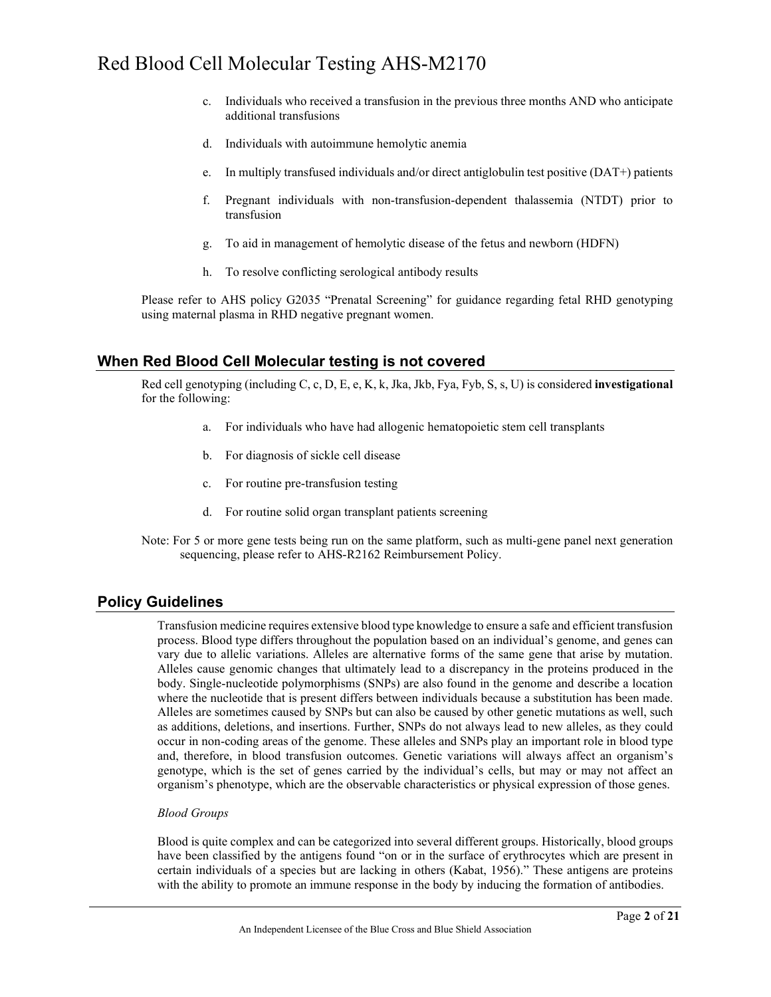- c. Individuals who received a transfusion in the previous three months AND who anticipate additional transfusions
- d. Individuals with autoimmune hemolytic anemia
- e. In multiply transfused individuals and/or direct antiglobulin test positive (DAT+) patients
- f. Pregnant individuals with non-transfusion-dependent thalassemia (NTDT) prior to transfusion
- g. To aid in management of hemolytic disease of the fetus and newborn (HDFN)
- h. To resolve conflicting serological antibody results

Please refer to AHS policy G2035 "Prenatal Screening" for guidance regarding fetal RHD genotyping using maternal plasma in RHD negative pregnant women.

#### **When Red Blood Cell Molecular testing is not covered**

Red cell genotyping (including C, c, D, E, e, K, k, Jka, Jkb, Fya, Fyb, S, s, U) is considered **investigational** for the following:

- a. For individuals who have had allogenic hematopoietic stem cell transplants
- b. For diagnosis of sickle cell disease
- c. For routine pre-transfusion testing
- d. For routine solid organ transplant patients screening
- Note: For 5 or more gene tests being run on the same platform, such as multi-gene panel next generation sequencing, please refer to AHS-R2162 Reimbursement Policy.

#### **Policy Guidelines**

Transfusion medicine requires extensive blood type knowledge to ensure a safe and efficient transfusion process. Blood type differs throughout the population based on an individual's genome, and genes can vary due to allelic variations. Alleles are alternative forms of the same gene that arise by mutation. Alleles cause genomic changes that ultimately lead to a discrepancy in the proteins produced in the body. Single-nucleotide polymorphisms (SNPs) are also found in the genome and describe a location where the nucleotide that is present differs between individuals because a substitution has been made. Alleles are sometimes caused by SNPs but can also be caused by other genetic mutations as well, such as additions, deletions, and insertions. Further, SNPs do not always lead to new alleles, as they could occur in non-coding areas of the genome. These alleles and SNPs play an important role in blood type and, therefore, in blood transfusion outcomes. Genetic variations will always affect an organism's genotype, which is the set of genes carried by the individual's cells, but may or may not affect an organism's phenotype, which are the observable characteristics or physical expression of those genes.

#### *Blood Groups*

Blood is quite complex and can be categorized into several different groups. Historically, blood groups have been classified by the antigens found "on or in the surface of erythrocytes which are present in certain individuals of a species but are lacking in others (Kabat, 1956)." These antigens are proteins with the ability to promote an immune response in the body by inducing the formation of antibodies.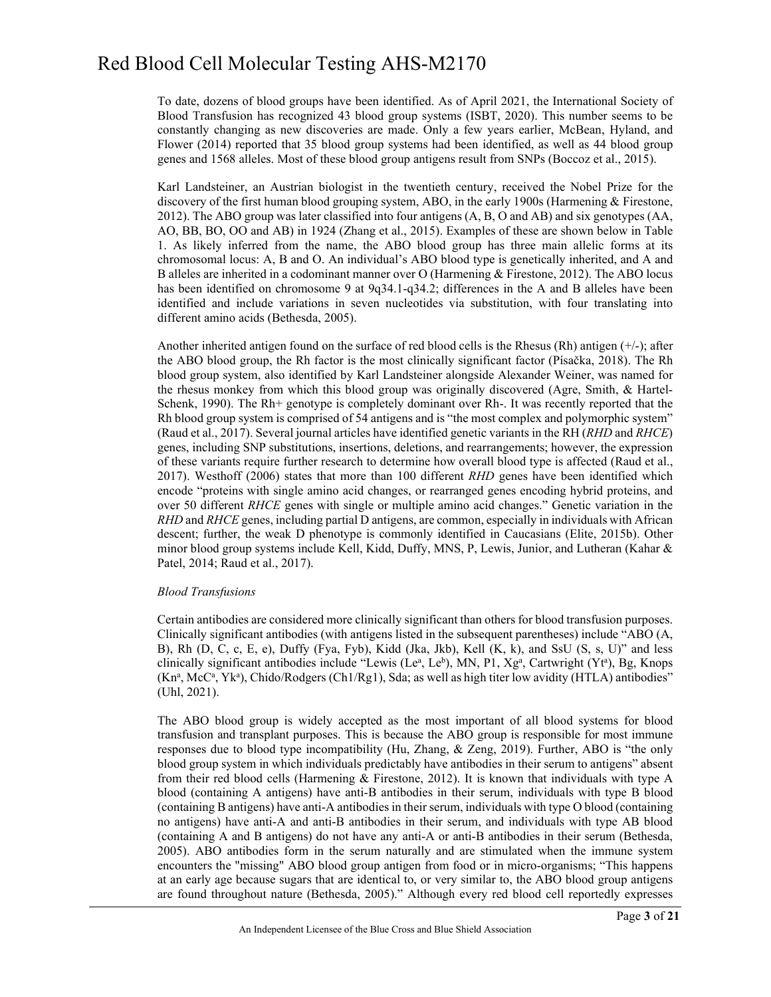To date, dozens of blood groups have been identified. As of April 2021, the International Society of Blood Transfusion has recognized 43 blood group systems (ISBT, 2020). This number seems to be constantly changing as new discoveries are made. Only a few years earlier, McBean, Hyland, and Flower (2014) reported that 35 blood group systems had been identified, as well as 44 blood group genes and 1568 alleles. Most of these blood group antigens result from SNPs (Boccoz et al., 2015).

Karl Landsteiner, an Austrian biologist in the twentieth century, received the Nobel Prize for the discovery of the first human blood grouping system, ABO, in the early 1900s (Harmening & Firestone, 2012). The ABO group was later classified into four antigens (A, B, O and AB) and six genotypes (AA, AO, BB, BO, OO and AB) in 1924 (Zhang et al., 2015). Examples of these are shown below in Table 1. As likely inferred from the name, the ABO blood group has three main allelic forms at its chromosomal locus: A, B and O. An individual's ABO blood type is genetically inherited, and A and B alleles are inherited in a codominant manner over O (Harmening & Firestone, 2012). The ABO locus has been identified on chromosome 9 at 9q34.1-q34.2; differences in the A and B alleles have been identified and include variations in seven nucleotides via substitution, with four translating into different amino acids (Bethesda, 2005).

Another inherited antigen found on the surface of red blood cells is the Rhesus (Rh) antigen  $(+/-)$ ; after the ABO blood group, the Rh factor is the most clinically significant factor (Písačka, 2018). The Rh blood group system, also identified by Karl Landsteiner alongside Alexander Weiner, was named for the rhesus monkey from which this blood group was originally discovered (Agre, Smith, & Hartel-Schenk, 1990). The Rh+ genotype is completely dominant over Rh-. It was recently reported that the Rh blood group system is comprised of 54 antigens and is "the most complex and polymorphic system" (Raud et al., 2017). Several journal articles have identified genetic variants in the RH (*RHD* and *RHCE*) genes, including SNP substitutions, insertions, deletions, and rearrangements; however, the expression of these variants require further research to determine how overall blood type is affected (Raud et al., 2017). Westhoff (2006) states that more than 100 different *RHD* genes have been identified which encode "proteins with single amino acid changes, or rearranged genes encoding hybrid proteins, and over 50 different *RHCE* genes with single or multiple amino acid changes." Genetic variation in the *RHD* and *RHCE* genes, including partial D antigens, are common, especially in individuals with African descent; further, the weak D phenotype is commonly identified in Caucasians (Elite, 2015b). Other minor blood group systems include Kell, Kidd, Duffy, MNS, P, Lewis, Junior, and Lutheran (Kahar & Patel, 2014; Raud et al., 2017).

#### *Blood Transfusions*

Certain antibodies are considered more clinically significant than others for blood transfusion purposes. Clinically significant antibodies (with antigens listed in the subsequent parentheses) include "ABO (A, B), Rh (D, C, c, E, e), Duffy (Fya, Fyb), Kidd (Jka, Jkb), Kell (K, k), and SsU (S, s, U)" and less clinically significant antibodies include "Lewis (Leª, Le<sup>b</sup>), MN, P1, Xg<sup>a</sup>, Cartwright (Ytª), Bg, Knops (Kn<sup>a</sup>, McC<sup>a</sup>, Yk<sup>a</sup>), Chido/Rodgers (Ch1/Rg1), Sda; as well as high titer low avidity (HTLA) antibodies" (Uhl, 2021).

The ABO blood group is widely accepted as the most important of all blood systems for blood transfusion and transplant purposes. This is because the ABO group is responsible for most immune responses due to blood type incompatibility (Hu, Zhang, & Zeng, 2019). Further, ABO is "the only blood group system in which individuals predictably have antibodies in their serum to antigens" absent from their red blood cells (Harmening & Firestone, 2012). It is known that individuals with type A blood (containing A antigens) have anti-B antibodies in their serum, individuals with type B blood (containing B antigens) have anti-A antibodies in their serum, individuals with type O blood (containing no antigens) have anti-A and anti-B antibodies in their serum, and individuals with type AB blood (containing A and B antigens) do not have any anti-A or anti-B antibodies in their serum (Bethesda, 2005). ABO antibodies form in the serum naturally and are stimulated when the immune system encounters the "missing" ABO blood group antigen from food or in micro-organisms; "This happens at an early age because sugars that are identical to, or very similar to, the ABO blood group antigens are found throughout nature (Bethesda, 2005)." Although every red blood cell reportedly expresses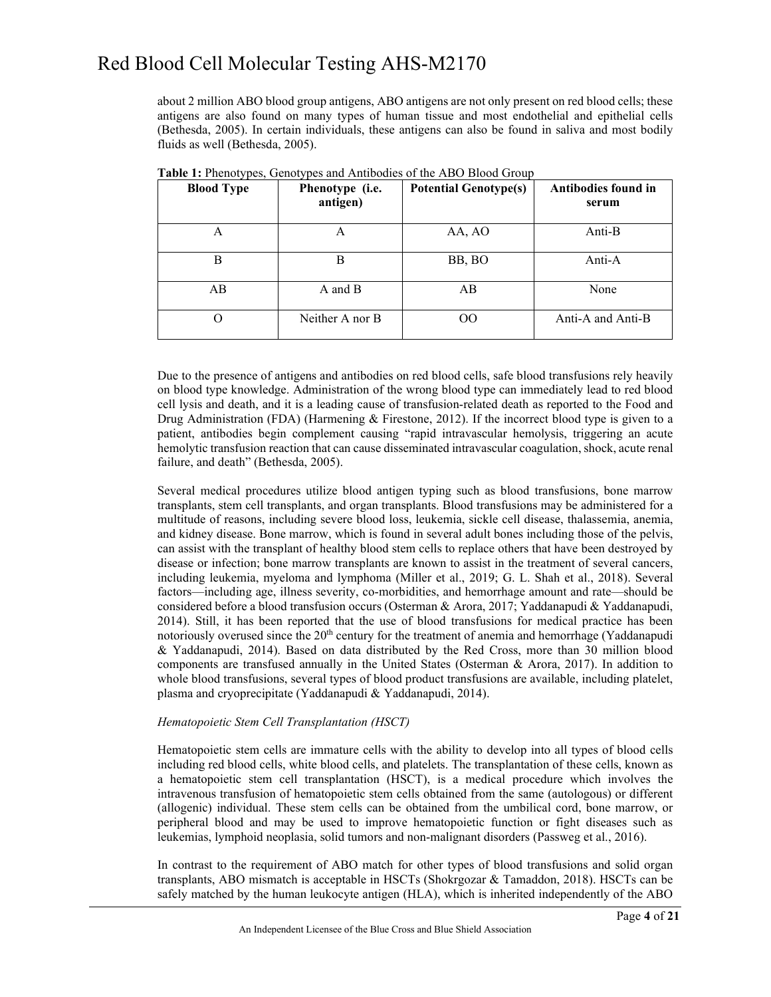about 2 million ABO blood group antigens, ABO antigens are not only present on red blood cells; these antigens are also found on many types of human tissue and most endothelial and epithelial cells (Bethesda, 2005). In certain individuals, these antigens can also be found in saliva and most bodily fluids as well (Bethesda, 2005).

| <b>Blood Type</b> | Phenotype (i.e.<br>antigen) | <b>Potential Genotype(s)</b> | Antibodies found in<br>serum |
|-------------------|-----------------------------|------------------------------|------------------------------|
| А                 | А                           | AA, AO                       | Anti-B                       |
| В                 | В                           | BB, BO                       | Anti-A                       |
| AB                | A and B                     | AB                           | None                         |
| ( )               | Neither A nor B             | OΟ                           | Anti-A and Anti-B            |

**Table 1:** Phenotypes, Genotypes and Antibodies of the ABO Blood Group

Due to the presence of antigens and antibodies on red blood cells, safe blood transfusions rely heavily on blood type knowledge. Administration of the wrong blood type can immediately lead to red blood cell lysis and death, and it is a leading cause of transfusion-related death as reported to the Food and Drug Administration (FDA) (Harmening & Firestone, 2012). If the incorrect blood type is given to a patient, antibodies begin complement causing "rapid intravascular hemolysis, triggering an acute hemolytic transfusion reaction that can cause disseminated intravascular coagulation, shock, acute renal failure, and death" (Bethesda, 2005).

Several medical procedures utilize blood antigen typing such as blood transfusions, bone marrow transplants, stem cell transplants, and organ transplants. Blood transfusions may be administered for a multitude of reasons, including severe blood loss, leukemia, sickle cell disease, thalassemia, anemia, and kidney disease. Bone marrow, which is found in several adult bones including those of the pelvis, can assist with the transplant of healthy blood stem cells to replace others that have been destroyed by disease or infection; bone marrow transplants are known to assist in the treatment of several cancers, including leukemia, myeloma and lymphoma (Miller et al., 2019; G. L. Shah et al., 2018). Several factors—including age, illness severity, co-morbidities, and hemorrhage amount and rate—should be considered before a blood transfusion occurs (Osterman & Arora, 2017; Yaddanapudi & Yaddanapudi, 2014). Still, it has been reported that the use of blood transfusions for medical practice has been notoriously overused since the  $20<sup>th</sup>$  century for the treatment of anemia and hemorrhage (Yaddanapudi & Yaddanapudi, 2014). Based on data distributed by the Red Cross, more than 30 million blood components are transfused annually in the United States (Osterman & Arora, 2017). In addition to whole blood transfusions, several types of blood product transfusions are available, including platelet, plasma and cryoprecipitate (Yaddanapudi & Yaddanapudi, 2014).

#### *Hematopoietic Stem Cell Transplantation (HSCT)*

Hematopoietic stem cells are immature cells with the ability to develop into all types of blood cells including red blood cells, white blood cells, and platelets. The transplantation of these cells, known as a hematopoietic stem cell transplantation (HSCT), is a medical procedure which involves the intravenous transfusion of hematopoietic stem cells obtained from the same (autologous) or different (allogenic) individual. These stem cells can be obtained from the umbilical cord, bone marrow, or peripheral blood and may be used to improve hematopoietic function or fight diseases such as leukemias, lymphoid neoplasia, solid tumors and non-malignant disorders (Passweg et al., 2016).

In contrast to the requirement of ABO match for other types of blood transfusions and solid organ transplants, ABO mismatch is acceptable in HSCTs (Shokrgozar & Tamaddon, 2018). HSCTs can be safely matched by the human leukocyte antigen (HLA), which is inherited independently of the ABO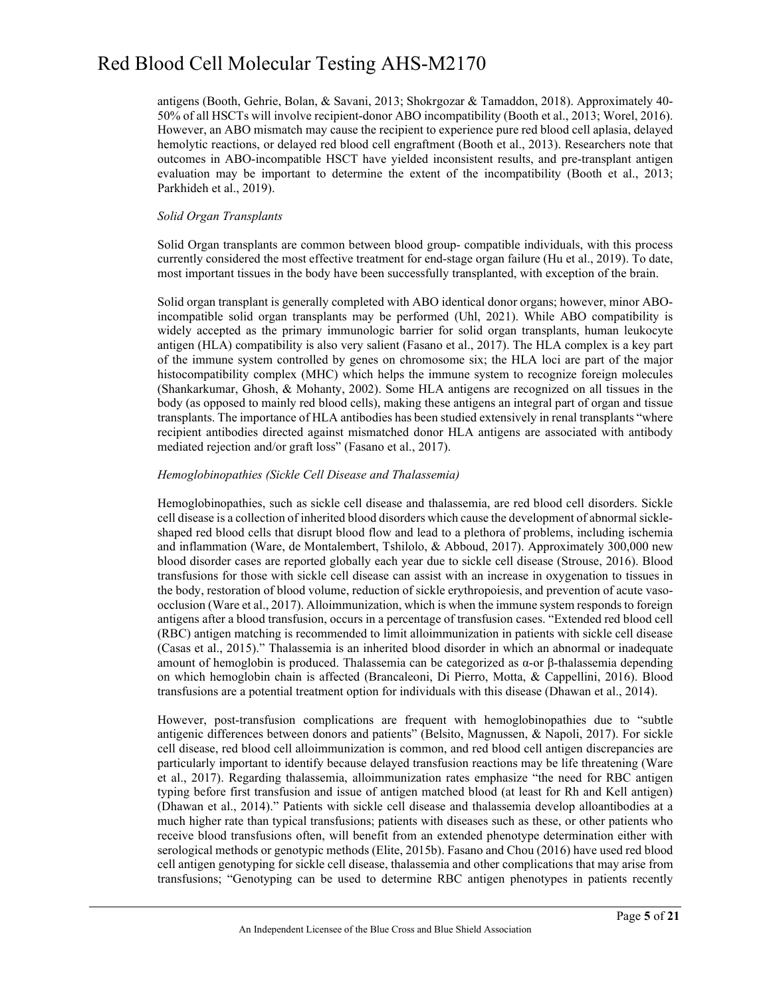antigens (Booth, Gehrie, Bolan, & Savani, 2013; Shokrgozar & Tamaddon, 2018). Approximately 40- 50% of all HSCTs will involve recipient-donor ABO incompatibility (Booth et al., 2013; Worel, 2016). However, an ABO mismatch may cause the recipient to experience pure red blood cell aplasia, delayed hemolytic reactions, or delayed red blood cell engraftment (Booth et al., 2013). Researchers note that outcomes in ABO-incompatible HSCT have yielded inconsistent results, and pre-transplant antigen evaluation may be important to determine the extent of the incompatibility (Booth et al., 2013; Parkhideh et al., 2019).

#### *Solid Organ Transplants*

Solid Organ transplants are common between blood group- compatible individuals, with this process currently considered the most effective treatment for end-stage organ failure (Hu et al., 2019). To date, most important tissues in the body have been successfully transplanted, with exception of the brain.

Solid organ transplant is generally completed with ABO identical donor organs; however, minor ABOincompatible solid organ transplants may be performed (Uhl, 2021). While ABO compatibility is widely accepted as the primary immunologic barrier for solid organ transplants, human leukocyte antigen (HLA) compatibility is also very salient (Fasano et al., 2017). The HLA complex is a key part of the immune system controlled by genes on chromosome six; the HLA loci are part of the major histocompatibility complex (MHC) which helps the immune system to recognize foreign molecules (Shankarkumar, Ghosh, & Mohanty, 2002). Some HLA antigens are recognized on all tissues in the body (as opposed to mainly red blood cells), making these antigens an integral part of organ and tissue transplants. The importance of HLA antibodies has been studied extensively in renal transplants "where recipient antibodies directed against mismatched donor HLA antigens are associated with antibody mediated rejection and/or graft loss" (Fasano et al., 2017).

#### *Hemoglobinopathies (Sickle Cell Disease and Thalassemia)*

Hemoglobinopathies, such as sickle cell disease and thalassemia, are red blood cell disorders. Sickle cell disease is a collection of inherited blood disorders which cause the development of abnormal sickleshaped red blood cells that disrupt blood flow and lead to a plethora of problems, including ischemia and inflammation (Ware, de Montalembert, Tshilolo, & Abboud, 2017). Approximately 300,000 new blood disorder cases are reported globally each year due to sickle cell disease (Strouse, 2016). Blood transfusions for those with sickle cell disease can assist with an increase in oxygenation to tissues in the body, restoration of blood volume, reduction of sickle erythropoiesis, and prevention of acute vasoocclusion (Ware et al., 2017). Alloimmunization, which is when the immune system responds to foreign antigens after a blood transfusion, occurs in a percentage of transfusion cases. "Extended red blood cell (RBC) antigen matching is recommended to limit alloimmunization in patients with sickle cell disease (Casas et al., 2015)." Thalassemia is an inherited blood disorder in which an abnormal or inadequate amount of hemoglobin is produced. Thalassemia can be categorized as α-or β-thalassemia depending on which hemoglobin chain is affected (Brancaleoni, Di Pierro, Motta, & Cappellini, 2016). Blood transfusions are a potential treatment option for individuals with this disease (Dhawan et al., 2014).

However, post-transfusion complications are frequent with hemoglobinopathies due to "subtle antigenic differences between donors and patients" (Belsito, Magnussen, & Napoli, 2017). For sickle cell disease, red blood cell alloimmunization is common, and red blood cell antigen discrepancies are particularly important to identify because delayed transfusion reactions may be life threatening (Ware et al., 2017). Regarding thalassemia, alloimmunization rates emphasize "the need for RBC antigen typing before first transfusion and issue of antigen matched blood (at least for Rh and Kell antigen) (Dhawan et al., 2014)." Patients with sickle cell disease and thalassemia develop alloantibodies at a much higher rate than typical transfusions; patients with diseases such as these, or other patients who receive blood transfusions often, will benefit from an extended phenotype determination either with serological methods or genotypic methods (Elite, 2015b). Fasano and Chou (2016) have used red blood cell antigen genotyping for sickle cell disease, thalassemia and other complications that may arise from transfusions; "Genotyping can be used to determine RBC antigen phenotypes in patients recently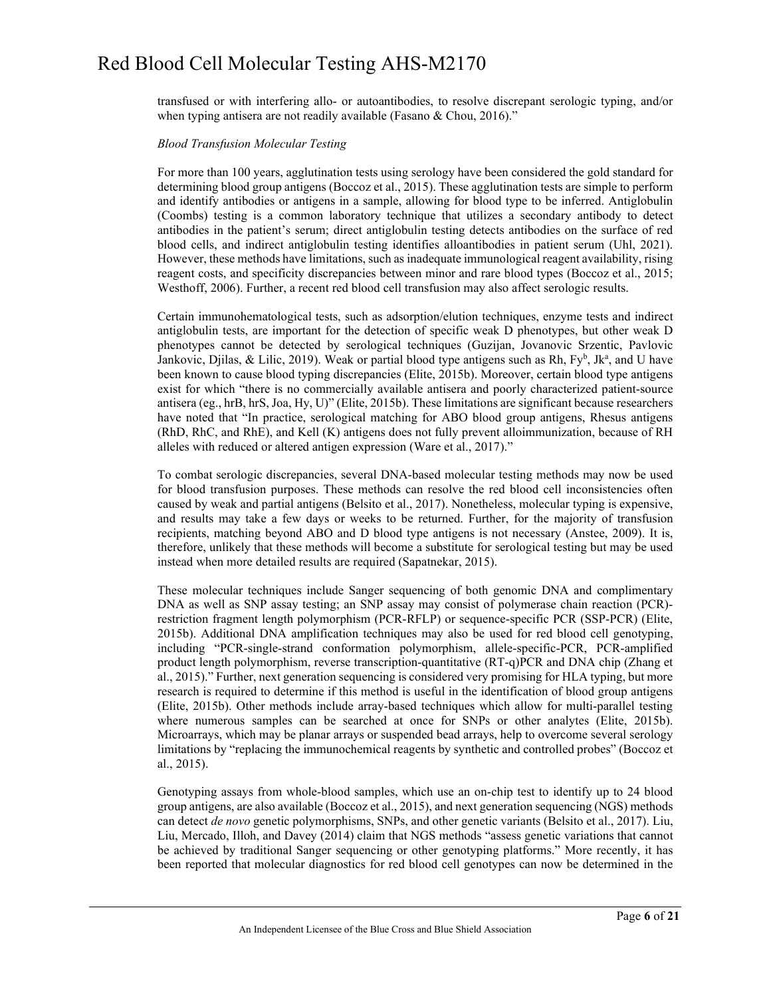transfused or with interfering allo- or autoantibodies, to resolve discrepant serologic typing, and/or when typing antisera are not readily available (Fasano & Chou, 2016)."

#### *Blood Transfusion Molecular Testing*

For more than 100 years, agglutination tests using serology have been considered the gold standard for determining blood group antigens (Boccoz et al., 2015). These agglutination tests are simple to perform and identify antibodies or antigens in a sample, allowing for blood type to be inferred. Antiglobulin (Coombs) testing is a common laboratory technique that utilizes a secondary antibody to detect antibodies in the patient's serum; direct antiglobulin testing detects antibodies on the surface of red blood cells, and indirect antiglobulin testing identifies alloantibodies in patient serum (Uhl, 2021). However, these methods have limitations, such as inadequate immunological reagent availability, rising reagent costs, and specificity discrepancies between minor and rare blood types (Boccoz et al., 2015; Westhoff, 2006). Further, a recent red blood cell transfusion may also affect serologic results.

Certain immunohematological tests, such as adsorption/elution techniques, enzyme tests and indirect antiglobulin tests, are important for the detection of specific weak D phenotypes, but other weak D phenotypes cannot be detected by serological techniques (Guzijan, Jovanovic Srzentic, Pavlovic Jankovic, Djilas, & Lilic, 2019). Weak or partial blood type antigens such as Rh,  $Fy^b$ , Jk<sup>a</sup>, and U have been known to cause blood typing discrepancies (Elite, 2015b). Moreover, certain blood type antigens exist for which "there is no commercially available antisera and poorly characterized patient-source antisera (eg., hrB, hrS, Joa, Hy, U)" (Elite, 2015b). These limitations are significant because researchers have noted that "In practice, serological matching for ABO blood group antigens, Rhesus antigens (RhD, RhC, and RhE), and Kell (K) antigens does not fully prevent alloimmunization, because of RH alleles with reduced or altered antigen expression (Ware et al., 2017)."

To combat serologic discrepancies, several DNA-based molecular testing methods may now be used for blood transfusion purposes. These methods can resolve the red blood cell inconsistencies often caused by weak and partial antigens (Belsito et al., 2017). Nonetheless, molecular typing is expensive, and results may take a few days or weeks to be returned. Further, for the majority of transfusion recipients, matching beyond ABO and D blood type antigens is not necessary (Anstee, 2009). It is, therefore, unlikely that these methods will become a substitute for serological testing but may be used instead when more detailed results are required (Sapatnekar, 2015).

These molecular techniques include Sanger sequencing of both genomic DNA and complimentary DNA as well as SNP assay testing; an SNP assay may consist of polymerase chain reaction (PCR) restriction fragment length polymorphism (PCR-RFLP) or sequence-specific PCR (SSP-PCR) (Elite, 2015b). Additional DNA amplification techniques may also be used for red blood cell genotyping, including "PCR-single-strand conformation polymorphism, allele-specific-PCR, PCR-amplified product length polymorphism, reverse transcription-quantitative (RT-q)PCR and DNA chip (Zhang et al., 2015)." Further, next generation sequencing is considered very promising for HLA typing, but more research is required to determine if this method is useful in the identification of blood group antigens (Elite, 2015b). Other methods include array-based techniques which allow for multi-parallel testing where numerous samples can be searched at once for SNPs or other analytes (Elite, 2015b). Microarrays, which may be planar arrays or suspended bead arrays, help to overcome several serology limitations by "replacing the immunochemical reagents by synthetic and controlled probes" (Boccoz et al., 2015).

Genotyping assays from whole-blood samples, which use an on-chip test to identify up to 24 blood group antigens, are also available (Boccoz et al., 2015), and next generation sequencing (NGS) methods can detect *de novo* genetic polymorphisms, SNPs, and other genetic variants (Belsito et al., 2017). Liu, Liu, Mercado, Illoh, and Davey (2014) claim that NGS methods "assess genetic variations that cannot be achieved by traditional Sanger sequencing or other genotyping platforms." More recently, it has been reported that molecular diagnostics for red blood cell genotypes can now be determined in the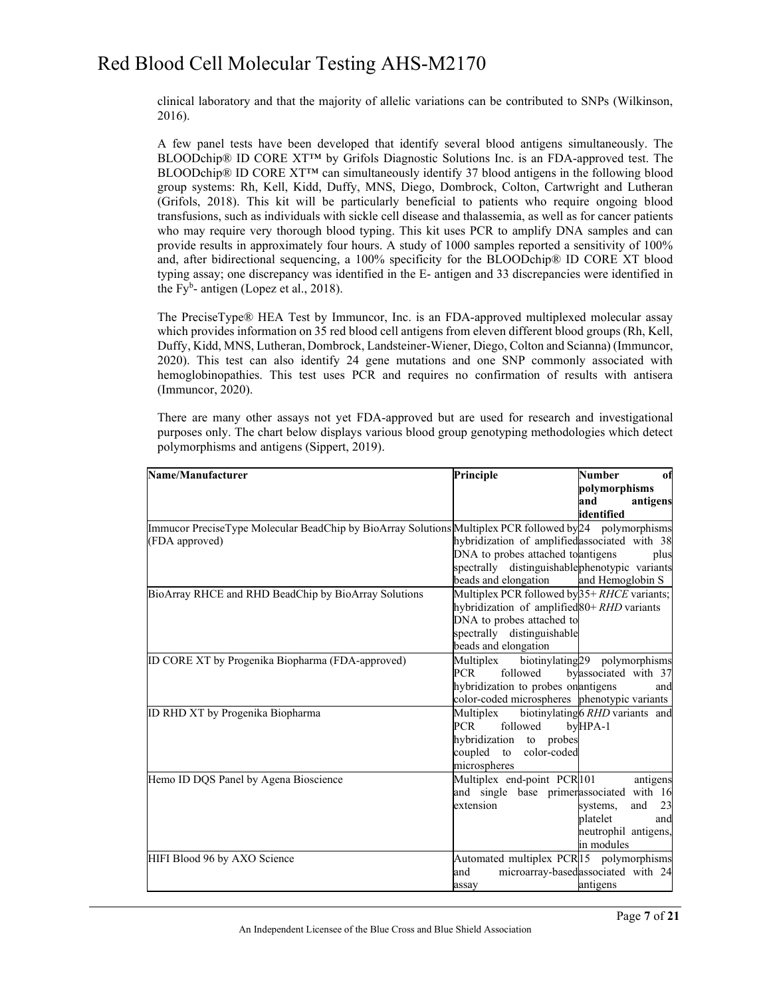clinical laboratory and that the majority of allelic variations can be contributed to SNPs (Wilkinson, 2016).

A few panel tests have been developed that identify several blood antigens simultaneously. The BLOODchip® ID CORE XT™ by Grifols Diagnostic Solutions Inc. is an FDA-approved test. The BLOODchip® ID CORE XT™ can simultaneously identify 37 blood antigens in the following blood group systems: Rh, Kell, Kidd, Duffy, MNS, Diego, Dombrock, Colton, Cartwright and Lutheran (Grifols, 2018). This kit will be particularly beneficial to patients who require ongoing blood transfusions, such as individuals with sickle cell disease and thalassemia, as well as for cancer patients who may require very thorough blood typing. This kit uses PCR to amplify DNA samples and can provide results in approximately four hours. A study of 1000 samples reported a sensitivity of 100% and, after bidirectional sequencing, a 100% specificity for the BLOODchip® ID CORE XT blood typing assay; one discrepancy was identified in the E- antigen and 33 discrepancies were identified in the Fy<sup>b</sup>- antigen (Lopez et al., 2018).

The PreciseType® HEA Test by Immuncor, Inc. is an FDA-approved multiplexed molecular assay which provides information on 35 red blood cell antigens from eleven different blood groups (Rh, Kell, Duffy, Kidd, MNS, Lutheran, Dombrock, Landsteiner-Wiener, Diego, Colton and Scianna) (Immuncor, 2020). This test can also identify 24 gene mutations and one SNP commonly associated with hemoglobinopathies. This test uses PCR and requires no confirmation of results with antisera (Immuncor, 2020).

There are many other assays not yet FDA-approved but are used for research and investigational purposes only. The chart below displays various blood group genotyping methodologies which detect polymorphisms and antigens (Sippert, 2019).

| Name/Manufacturer                                                                                       | Principle                                     | <b>Number</b><br>of                       |
|---------------------------------------------------------------------------------------------------------|-----------------------------------------------|-------------------------------------------|
|                                                                                                         |                                               | polymorphisms                             |
|                                                                                                         |                                               | and<br>antigens                           |
|                                                                                                         |                                               | lidentified                               |
| Immucor PreciseType Molecular BeadChip by BioArray Solutions Multiplex PCR followed by 24 polymorphisms |                                               |                                           |
| (FDA approved)                                                                                          | hybridization of amplifiedassociated with 38  |                                           |
|                                                                                                         | DNA to probes attached to antigens            | plus                                      |
|                                                                                                         | spectrally distinguishablephenotypic variants |                                           |
|                                                                                                         | beads and elongation                          | and Hemoglobin S                          |
| BioArray RHCE and RHD BeadChip by BioArray Solutions                                                    | Multiplex PCR followed by 35+ RHCE variants;  |                                           |
|                                                                                                         | hybridization of amplified 80+ RHD variants   |                                           |
|                                                                                                         | DNA to probes attached to                     |                                           |
|                                                                                                         | spectrally distinguishable                    |                                           |
|                                                                                                         | beads and elongation                          |                                           |
| ID CORE XT by Progenika Biopharma (FDA-approved)                                                        | Multiplex                                     | biotinylating <sub>29</sub> polymorphisms |
|                                                                                                         | followed<br><b>PCR</b>                        | byassociated with 37                      |
|                                                                                                         | hybridization to probes on antigens           | and                                       |
|                                                                                                         | color-coded microspheres phenotypic variants  |                                           |
| ID RHD XT by Progenika Biopharma                                                                        | Multiplex                                     | biotinylating 6 RHD variants and          |
|                                                                                                         | followed<br><b>PCR</b>                        | byHPA-1                                   |
|                                                                                                         | hybridization to probes                       |                                           |
|                                                                                                         | coupled to color-coded                        |                                           |
|                                                                                                         | microspheres                                  |                                           |
| Hemo ID DQS Panel by Agena Bioscience                                                                   | Multiplex end-point PCR101                    | antigens                                  |
|                                                                                                         | and single base primerassociated with 16      |                                           |
|                                                                                                         | extension                                     | and<br>23<br>systems,                     |
|                                                                                                         |                                               | platelet<br>and                           |
|                                                                                                         |                                               | neutrophil antigens,                      |
|                                                                                                         |                                               | in modules                                |
| HIFI Blood 96 by AXO Science                                                                            | Automated multiplex PCR 15 polymorphisms      |                                           |
|                                                                                                         | and                                           | microarray-based associated with 24       |
|                                                                                                         | assay                                         | antigens                                  |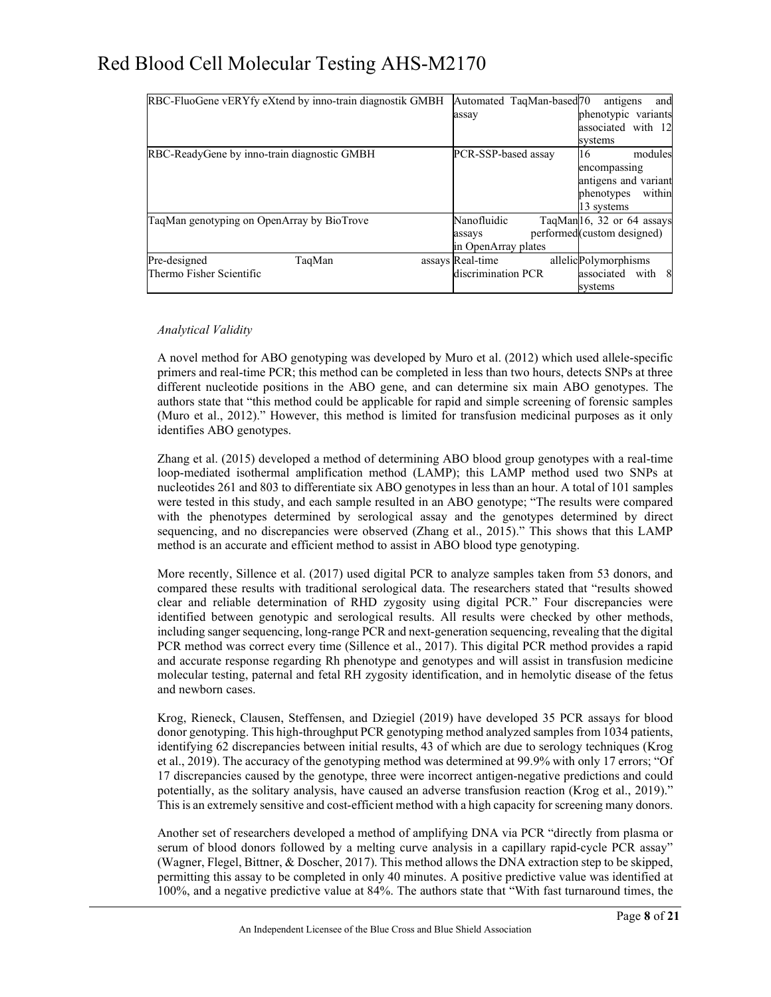|                                             | RBC-FluoGene vERYfy eXtend by inno-train diagnostik GMBH |                     | Automated TaqMan-based70 | antigens                    | and     |
|---------------------------------------------|----------------------------------------------------------|---------------------|--------------------------|-----------------------------|---------|
|                                             |                                                          | assay               |                          | phenotypic variants         |         |
|                                             |                                                          |                     |                          | associated with 12          |         |
|                                             |                                                          |                     |                          | svstems                     |         |
| RBC-ReadyGene by inno-train diagnostic GMBH |                                                          | PCR-SSP-based assay |                          | 16                          | modules |
|                                             |                                                          |                     |                          | encompassing                |         |
|                                             |                                                          |                     |                          | antigens and variant        |         |
|                                             |                                                          |                     |                          | phenotypes                  | within  |
|                                             |                                                          |                     |                          | 13 systems                  |         |
| TaqMan genotyping on OpenArray by BioTrove  |                                                          | Nanofluidic         |                          | TaqMan16, 32 or 64 assays   |         |
|                                             |                                                          | assays              |                          | performed (custom designed) |         |
|                                             |                                                          | in OpenArray plates |                          |                             |         |
| Pre-designed                                | TaqMan                                                   | assays Real-time    |                          | allelicPolymorphisms        |         |
| Thermo Fisher Scientific                    |                                                          | discrimination PCR  |                          | associated with 8           |         |
|                                             |                                                          |                     |                          | svstems                     |         |

#### *Analytical Validity*

A novel method for ABO genotyping was developed by Muro et al. (2012) which used allele-specific primers and real-time PCR; this method can be completed in less than two hours, detects SNPs at three different nucleotide positions in the ABO gene, and can determine six main ABO genotypes. The authors state that "this method could be applicable for rapid and simple screening of forensic samples (Muro et al., 2012)." However, this method is limited for transfusion medicinal purposes as it only identifies ABO genotypes.

Zhang et al. (2015) developed a method of determining ABO blood group genotypes with a real-time loop-mediated isothermal amplification method (LAMP); this LAMP method used two SNPs at nucleotides 261 and 803 to differentiate six ABO genotypes in less than an hour. A total of 101 samples were tested in this study, and each sample resulted in an ABO genotype; "The results were compared with the phenotypes determined by serological assay and the genotypes determined by direct sequencing, and no discrepancies were observed (Zhang et al., 2015)." This shows that this LAMP method is an accurate and efficient method to assist in ABO blood type genotyping.

More recently, Sillence et al. (2017) used digital PCR to analyze samples taken from 53 donors, and compared these results with traditional serological data. The researchers stated that "results showed clear and reliable determination of RHD zygosity using digital PCR." Four discrepancies were identified between genotypic and serological results. All results were checked by other methods, including sanger sequencing, long-range PCR and next-generation sequencing, revealing that the digital PCR method was correct every time (Sillence et al., 2017). This digital PCR method provides a rapid and accurate response regarding Rh phenotype and genotypes and will assist in transfusion medicine molecular testing, paternal and fetal RH zygosity identification, and in hemolytic disease of the fetus and newborn cases.

Krog, Rieneck, Clausen, Steffensen, and Dziegiel (2019) have developed 35 PCR assays for blood donor genotyping. This high-throughput PCR genotyping method analyzed samples from 1034 patients, identifying 62 discrepancies between initial results, 43 of which are due to serology techniques (Krog et al., 2019). The accuracy of the genotyping method was determined at 99.9% with only 17 errors; "Of 17 discrepancies caused by the genotype, three were incorrect antigen-negative predictions and could potentially, as the solitary analysis, have caused an adverse transfusion reaction (Krog et al., 2019)." This is an extremely sensitive and cost-efficient method with a high capacity for screening many donors.

Another set of researchers developed a method of amplifying DNA via PCR "directly from plasma or serum of blood donors followed by a melting curve analysis in a capillary rapid-cycle PCR assay" (Wagner, Flegel, Bittner, & Doscher, 2017). This method allows the DNA extraction step to be skipped, permitting this assay to be completed in only 40 minutes. A positive predictive value was identified at 100%, and a negative predictive value at 84%. The authors state that "With fast turnaround times, the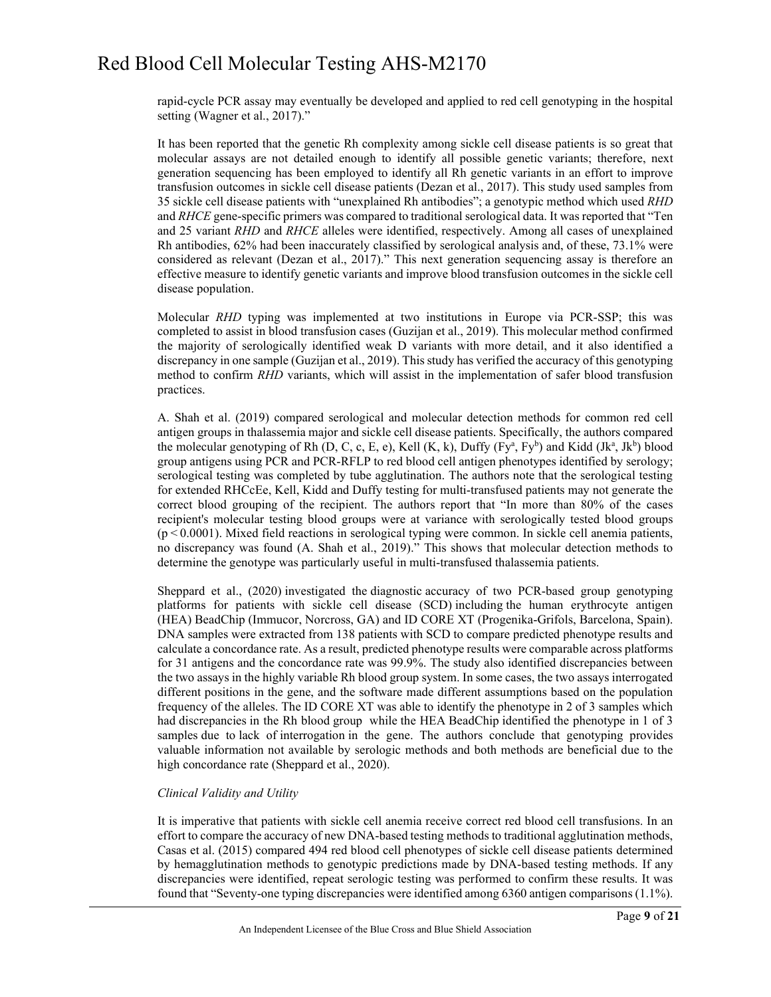rapid-cycle PCR assay may eventually be developed and applied to red cell genotyping in the hospital setting (Wagner et al., 2017)."

It has been reported that the genetic Rh complexity among sickle cell disease patients is so great that molecular assays are not detailed enough to identify all possible genetic variants; therefore, next generation sequencing has been employed to identify all Rh genetic variants in an effort to improve transfusion outcomes in sickle cell disease patients (Dezan et al., 2017). This study used samples from 35 sickle cell disease patients with "unexplained Rh antibodies"; a genotypic method which used *RHD* and *RHCE* gene-specific primers was compared to traditional serological data. It was reported that "Ten and 25 variant *RHD* and *RHCE* alleles were identified, respectively. Among all cases of unexplained Rh antibodies, 62% had been inaccurately classified by serological analysis and, of these, 73.1% were considered as relevant (Dezan et al., 2017)." This next generation sequencing assay is therefore an effective measure to identify genetic variants and improve blood transfusion outcomes in the sickle cell disease population.

Molecular *RHD* typing was implemented at two institutions in Europe via PCR-SSP; this was completed to assist in blood transfusion cases (Guzijan et al., 2019). This molecular method confirmed the majority of serologically identified weak D variants with more detail, and it also identified a discrepancy in one sample (Guzijan et al., 2019). This study has verified the accuracy of this genotyping method to confirm *RHD* variants, which will assist in the implementation of safer blood transfusion practices.

A. Shah et al. (2019) compared serological and molecular detection methods for common red cell antigen groups in thalassemia major and sickle cell disease patients. Specifically, the authors compared the molecular genotyping of Rh  $(D, C, c, E, e)$ , Kell  $(K, k)$ , Duffy  $(Fy^a, Fy^b)$  and Kidd  $(Jk^a, Jk^b)$  blood group antigens using PCR and PCR-RFLP to red blood cell antigen phenotypes identified by serology; serological testing was completed by tube agglutination. The authors note that the serological testing for extended RHCcEe, Kell, Kidd and Duffy testing for multi-transfused patients may not generate the correct blood grouping of the recipient. The authors report that "In more than 80% of the cases recipient's molecular testing blood groups were at variance with serologically tested blood groups (p < 0.0001). Mixed field reactions in serological typing were common. In sickle cell anemia patients, no discrepancy was found (A. Shah et al., 2019)." This shows that molecular detection methods to determine the genotype was particularly useful in multi-transfused thalassemia patients.

Sheppard et al., (2020) investigated the diagnostic accuracy of two PCR-based group genotyping platforms for patients with sickle cell disease (SCD) including the human erythrocyte antigen (HEA) BeadChip (Immucor, Norcross, GA) and ID CORE XT (Progenika-Grifols, Barcelona, Spain). DNA samples were extracted from 138 patients with SCD to compare predicted phenotype results and calculate a concordance rate. As a result, predicted phenotype results were comparable across platforms for 31 antigens and the concordance rate was 99.9%. The study also identified discrepancies between the two assays in the highly variable Rh blood group system. In some cases, the two assays interrogated different positions in the gene, and the software made different assumptions based on the population frequency of the alleles. The ID CORE XT was able to identify the phenotype in 2 of 3 samples which had discrepancies in the Rh blood group while the HEA BeadChip identified the phenotype in 1 of 3 samples due to lack of interrogation in the gene. The authors conclude that genotyping provides valuable information not available by serologic methods and both methods are beneficial due to the high concordance rate (Sheppard et al., 2020).

#### *Clinical Validity and Utility*

It is imperative that patients with sickle cell anemia receive correct red blood cell transfusions. In an effort to compare the accuracy of new DNA-based testing methods to traditional agglutination methods, Casas et al. (2015) compared 494 red blood cell phenotypes of sickle cell disease patients determined by hemagglutination methods to genotypic predictions made by DNA-based testing methods. If any discrepancies were identified, repeat serologic testing was performed to confirm these results. It was found that "Seventy-one typing discrepancies were identified among 6360 antigen comparisons (1.1%).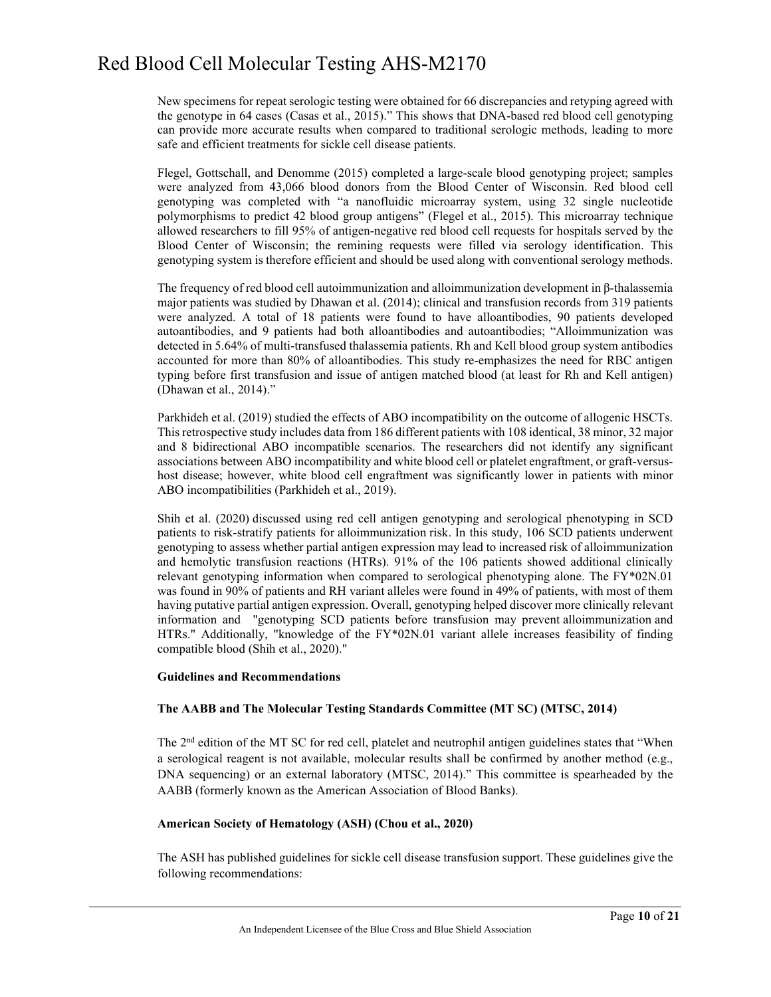New specimens for repeat serologic testing were obtained for 66 discrepancies and retyping agreed with the genotype in 64 cases (Casas et al., 2015)." This shows that DNA-based red blood cell genotyping can provide more accurate results when compared to traditional serologic methods, leading to more safe and efficient treatments for sickle cell disease patients.

Flegel, Gottschall, and Denomme (2015) completed a large-scale blood genotyping project; samples were analyzed from 43,066 blood donors from the Blood Center of Wisconsin. Red blood cell genotyping was completed with "a nanofluidic microarray system, using 32 single nucleotide polymorphisms to predict 42 blood group antigens" (Flegel et al., 2015). This microarray technique allowed researchers to fill 95% of antigen-negative red blood cell requests for hospitals served by the Blood Center of Wisconsin; the remining requests were filled via serology identification. This genotyping system is therefore efficient and should be used along with conventional serology methods.

The frequency of red blood cell autoimmunization and alloimmunization development in β-thalassemia major patients was studied by Dhawan et al. (2014); clinical and transfusion records from 319 patients were analyzed. A total of 18 patients were found to have alloantibodies, 90 patients developed autoantibodies, and 9 patients had both alloantibodies and autoantibodies; "Alloimmunization was detected in 5.64% of multi-transfused thalassemia patients. Rh and Kell blood group system antibodies accounted for more than 80% of alloantibodies. This study re-emphasizes the need for RBC antigen typing before first transfusion and issue of antigen matched blood (at least for Rh and Kell antigen) (Dhawan et al., 2014)."

Parkhideh et al. (2019) studied the effects of ABO incompatibility on the outcome of allogenic HSCTs. This retrospective study includes data from 186 different patients with 108 identical, 38 minor, 32 major and 8 bidirectional ABO incompatible scenarios. The researchers did not identify any significant associations between ABO incompatibility and white blood cell or platelet engraftment, or graft-versushost disease; however, white blood cell engraftment was significantly lower in patients with minor ABO incompatibilities (Parkhideh et al., 2019).

Shih et al. (2020) discussed using red cell antigen genotyping and serological phenotyping in SCD patients to risk-stratify patients for alloimmunization risk. In this study, 106 SCD patients underwent genotyping to assess whether partial antigen expression may lead to increased risk of alloimmunization and hemolytic transfusion reactions (HTRs). 91% of the 106 patients showed additional clinically relevant genotyping information when compared to serological phenotyping alone. The FY\*02N.01 was found in 90% of patients and RH variant alleles were found in 49% of patients, with most of them having putative partial antigen expression. Overall, genotyping helped discover more clinically relevant information and "genotyping SCD patients before transfusion may prevent alloimmunization and HTRs." Additionally, "knowledge of the FY\*02N.01 variant allele increases feasibility of finding compatible blood (Shih et al., 2020)."

#### **Guidelines and Recommendations**

#### **The AABB and The Molecular Testing Standards Committee (MT SC) (MTSC, 2014)**

The  $2<sup>nd</sup>$  edition of the MT SC for red cell, platelet and neutrophil antigen guidelines states that "When a serological reagent is not available, molecular results shall be confirmed by another method (e.g., DNA sequencing) or an external laboratory (MTSC, 2014)." This committee is spearheaded by the AABB (formerly known as the American Association of Blood Banks).

#### **American Society of Hematology (ASH) (Chou et al., 2020)**

The ASH has published guidelines for sickle cell disease transfusion support. These guidelines give the following recommendations: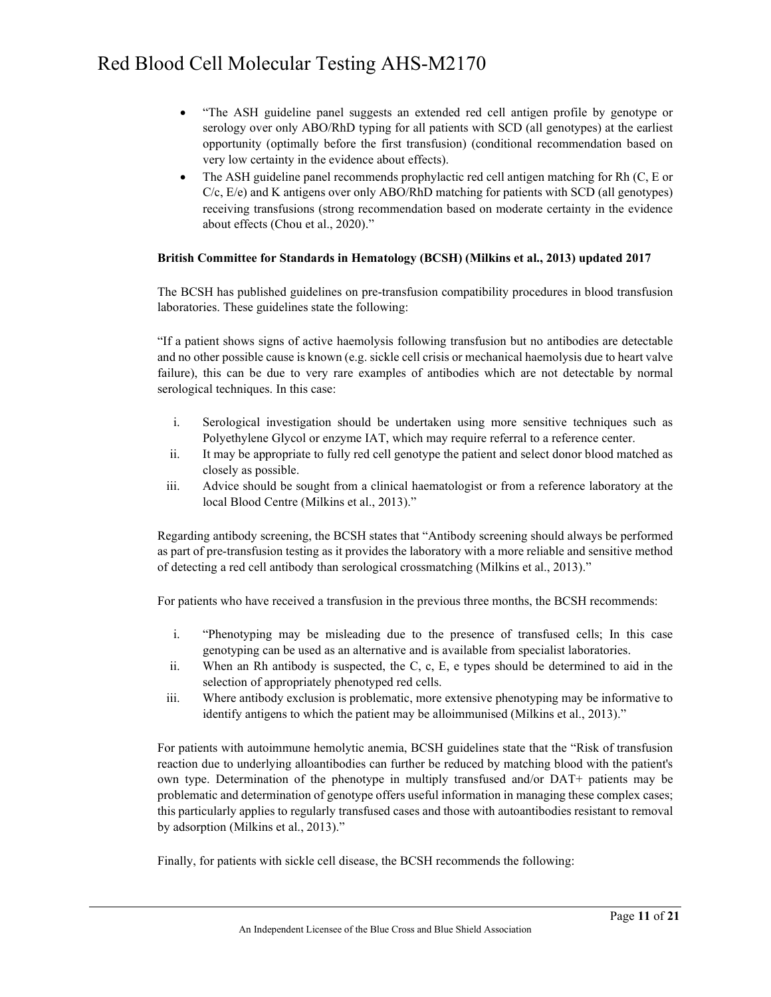- "The ASH guideline panel suggests an extended red cell antigen profile by genotype or serology over only ABO/RhD typing for all patients with SCD (all genotypes) at the earliest opportunity (optimally before the first transfusion) (conditional recommendation based on very low certainty in the evidence about effects).
- The ASH guideline panel recommends prophylactic red cell antigen matching for Rh (C, E or  $C/c$ ,  $E/e$ ) and K antigens over only ABO/RhD matching for patients with SCD (all genotypes) receiving transfusions (strong recommendation based on moderate certainty in the evidence about effects (Chou et al., 2020)."

#### **British Committee for Standards in Hematology (BCSH) (Milkins et al., 2013) updated 2017**

The BCSH has published guidelines on pre-transfusion compatibility procedures in blood transfusion laboratories. These guidelines state the following:

"If a patient shows signs of active haemolysis following transfusion but no antibodies are detectable and no other possible cause is known (e.g. sickle cell crisis or mechanical haemolysis due to heart valve failure), this can be due to very rare examples of antibodies which are not detectable by normal serological techniques. In this case:

- i. Serological investigation should be undertaken using more sensitive techniques such as Polyethylene Glycol or enzyme IAT, which may require referral to a reference center.
- ii. It may be appropriate to fully red cell genotype the patient and select donor blood matched as closely as possible.
- iii. Advice should be sought from a clinical haematologist or from a reference laboratory at the local Blood Centre (Milkins et al., 2013)."

Regarding antibody screening, the BCSH states that "Antibody screening should always be performed as part of pre-transfusion testing as it provides the laboratory with a more reliable and sensitive method of detecting a red cell antibody than serological crossmatching (Milkins et al., 2013)."

For patients who have received a transfusion in the previous three months, the BCSH recommends:

- i. "Phenotyping may be misleading due to the presence of transfused cells; In this case genotyping can be used as an alternative and is available from specialist laboratories.
- ii. When an Rh antibody is suspected, the C, c, E, e types should be determined to aid in the selection of appropriately phenotyped red cells.
- iii. Where antibody exclusion is problematic, more extensive phenotyping may be informative to identify antigens to which the patient may be alloimmunised (Milkins et al., 2013)."

For patients with autoimmune hemolytic anemia, BCSH guidelines state that the "Risk of transfusion reaction due to underlying alloantibodies can further be reduced by matching blood with the patient's own type. Determination of the phenotype in multiply transfused and/or DAT+ patients may be problematic and determination of genotype offers useful information in managing these complex cases; this particularly applies to regularly transfused cases and those with autoantibodies resistant to removal by adsorption (Milkins et al., 2013)."

Finally, for patients with sickle cell disease, the BCSH recommends the following: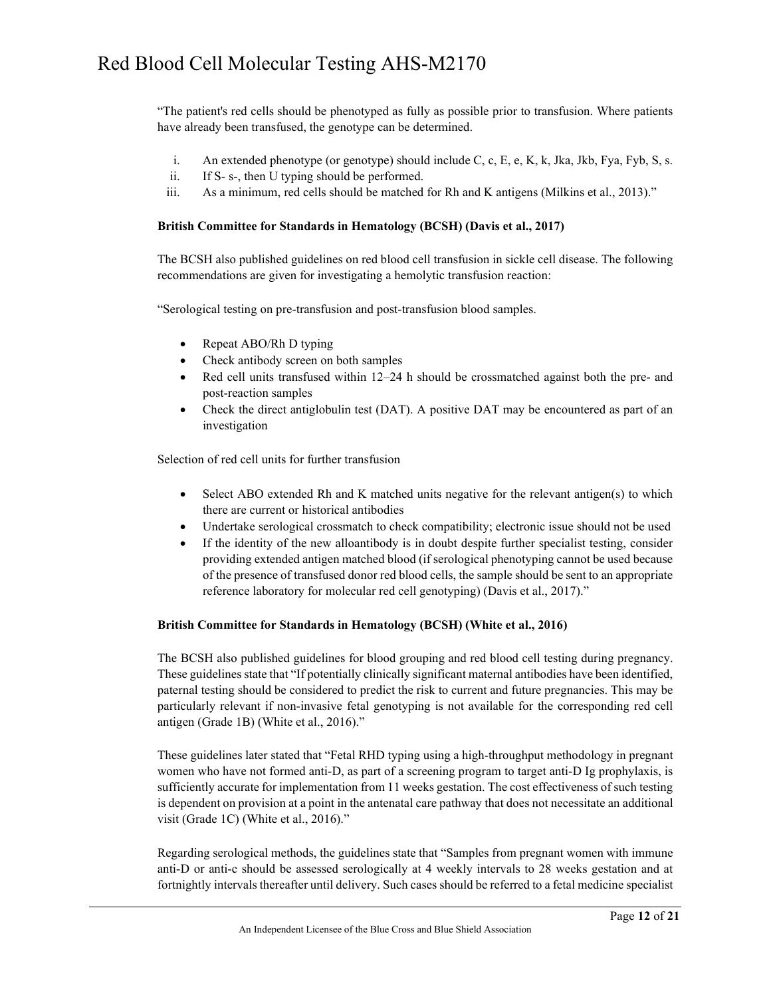"The patient's red cells should be phenotyped as fully as possible prior to transfusion. Where patients have already been transfused, the genotype can be determined.

- i. An extended phenotype (or genotype) should include C, c, E, e, K, k, Jka, Jkb, Fya, Fyb, S, s.
- ii. If S‐ s‐, then U typing should be performed.
- iii. As a minimum, red cells should be matched for Rh and K antigens (Milkins et al., 2013)."

#### **British Committee for Standards in Hematology (BCSH) (Davis et al., 2017)**

The BCSH also published guidelines on red blood cell transfusion in sickle cell disease. The following recommendations are given for investigating a hemolytic transfusion reaction:

"Serological testing on pre-transfusion and post-transfusion blood samples.

- Repeat ABO/Rh D typing
- Check antibody screen on both samples
- Red cell units transfused within 12–24 h should be crossmatched against both the pre- and post-reaction samples
- Check the direct antiglobulin test (DAT). A positive DAT may be encountered as part of an investigation

Selection of red cell units for further transfusion

- Select ABO extended Rh and K matched units negative for the relevant antigen(s) to which there are current or historical antibodies
- Undertake serological crossmatch to check compatibility; electronic issue should not be used
- If the identity of the new alloantibody is in doubt despite further specialist testing, consider providing extended antigen matched blood (if serological phenotyping cannot be used because of the presence of transfused donor red blood cells, the sample should be sent to an appropriate reference laboratory for molecular red cell genotyping) (Davis et al., 2017)."

#### **British Committee for Standards in Hematology (BCSH) (White et al., 2016)**

The BCSH also published guidelines for blood grouping and red blood cell testing during pregnancy. These guidelines state that "If potentially clinically significant maternal antibodies have been identified, paternal testing should be considered to predict the risk to current and future pregnancies. This may be particularly relevant if non-invasive fetal genotyping is not available for the corresponding red cell antigen (Grade 1B) (White et al., 2016)."

These guidelines later stated that "Fetal RHD typing using a high-throughput methodology in pregnant women who have not formed anti-D, as part of a screening program to target anti-D Ig prophylaxis, is sufficiently accurate for implementation from 11 weeks gestation. The cost effectiveness of such testing is dependent on provision at a point in the antenatal care pathway that does not necessitate an additional visit (Grade 1C) (White et al., 2016)."

Regarding serological methods, the guidelines state that "Samples from pregnant women with immune anti-D or anti-c should be assessed serologically at 4 weekly intervals to 28 weeks gestation and at fortnightly intervals thereafter until delivery. Such cases should be referred to a fetal medicine specialist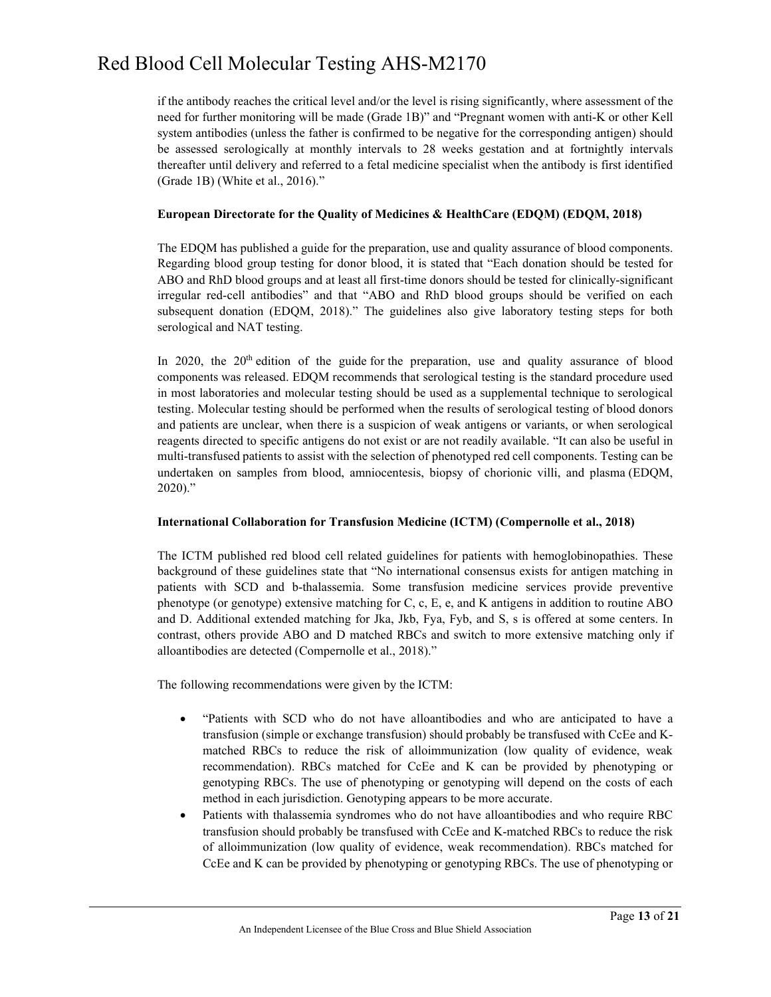if the antibody reaches the critical level and/or the level is rising significantly, where assessment of the need for further monitoring will be made (Grade 1B)" and "Pregnant women with anti-K or other Kell system antibodies (unless the father is confirmed to be negative for the corresponding antigen) should be assessed serologically at monthly intervals to 28 weeks gestation and at fortnightly intervals thereafter until delivery and referred to a fetal medicine specialist when the antibody is first identified (Grade 1B) (White et al., 2016)."

#### **European Directorate for the Quality of Medicines & HealthCare (EDQM) (EDQM, 2018)**

The EDQM has published a guide for the preparation, use and quality assurance of blood components. Regarding blood group testing for donor blood, it is stated that "Each donation should be tested for ABO and RhD blood groups and at least all first-time donors should be tested for clinically-significant irregular red-cell antibodies" and that "ABO and RhD blood groups should be verified on each subsequent donation (EDQM, 2018)." The guidelines also give laboratory testing steps for both serological and NAT testing.

In 2020, the  $20^{th}$  edition of the guide for the preparation, use and quality assurance of blood components was released. EDQM recommends that serological testing is the standard procedure used in most laboratories and molecular testing should be used as a supplemental technique to serological testing. Molecular testing should be performed when the results of serological testing of blood donors and patients are unclear, when there is a suspicion of weak antigens or variants, or when serological reagents directed to specific antigens do not exist or are not readily available. "It can also be useful in multi-transfused patients to assist with the selection of phenotyped red cell components. Testing can be undertaken on samples from blood, amniocentesis, biopsy of chorionic villi, and plasma (EDQM, 2020)."

#### **International Collaboration for Transfusion Medicine (ICTM) (Compernolle et al., 2018)**

The ICTM published red blood cell related guidelines for patients with hemoglobinopathies. These background of these guidelines state that "No international consensus exists for antigen matching in patients with SCD and b-thalassemia. Some transfusion medicine services provide preventive phenotype (or genotype) extensive matching for C, c, E, e, and K antigens in addition to routine ABO and D. Additional extended matching for Jka, Jkb, Fya, Fyb, and S, s is offered at some centers. In contrast, others provide ABO and D matched RBCs and switch to more extensive matching only if alloantibodies are detected (Compernolle et al., 2018)."

The following recommendations were given by the ICTM:

- "Patients with SCD who do not have alloantibodies and who are anticipated to have a transfusion (simple or exchange transfusion) should probably be transfused with CcEe and Kmatched RBCs to reduce the risk of alloimmunization (low quality of evidence, weak recommendation). RBCs matched for CcEe and K can be provided by phenotyping or genotyping RBCs. The use of phenotyping or genotyping will depend on the costs of each method in each jurisdiction. Genotyping appears to be more accurate.
- Patients with thalassemia syndromes who do not have alloantibodies and who require RBC transfusion should probably be transfused with CcEe and K-matched RBCs to reduce the risk of alloimmunization (low quality of evidence, weak recommendation). RBCs matched for CcEe and K can be provided by phenotyping or genotyping RBCs. The use of phenotyping or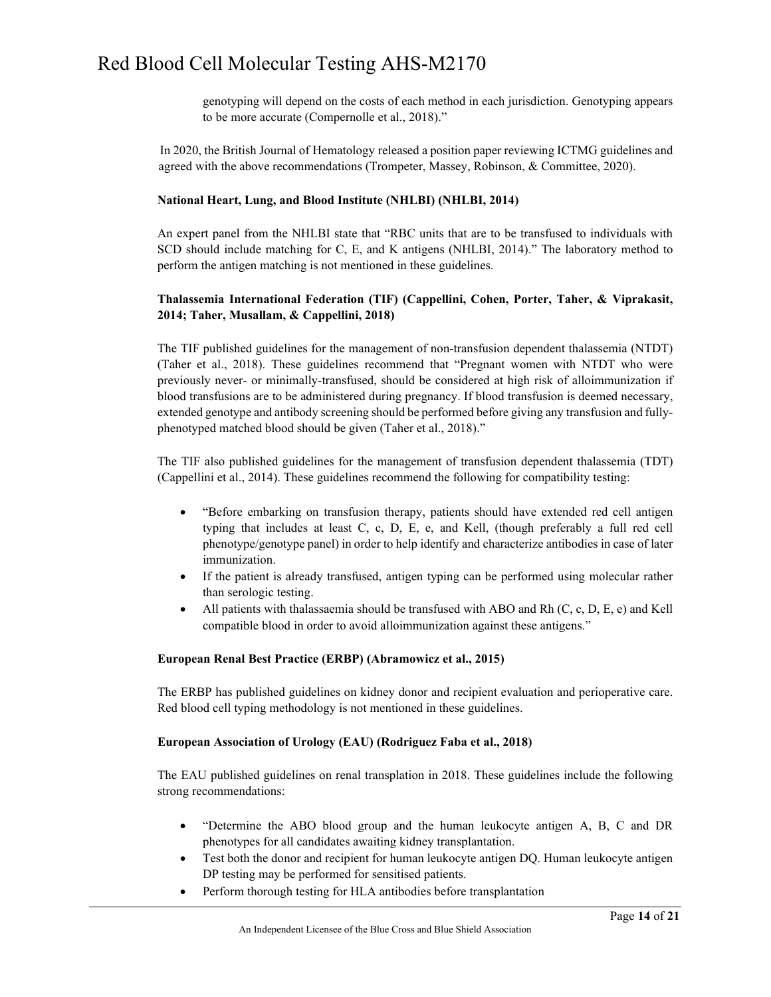genotyping will depend on the costs of each method in each jurisdiction. Genotyping appears to be more accurate (Compernolle et al., 2018)."

 In 2020, the British Journal of Hematology released a position paper reviewing ICTMG guidelines and agreed with the above recommendations (Trompeter, Massey, Robinson, & Committee, 2020).

#### **National Heart, Lung, and Blood Institute (NHLBI) (NHLBI, 2014)**

An expert panel from the NHLBI state that "RBC units that are to be transfused to individuals with SCD should include matching for C, E, and K antigens (NHLBI, 2014)." The laboratory method to perform the antigen matching is not mentioned in these guidelines.

#### **Thalassemia International Federation (TIF) (Cappellini, Cohen, Porter, Taher, & Viprakasit, 2014; Taher, Musallam, & Cappellini, 2018)**

The TIF published guidelines for the management of non-transfusion dependent thalassemia (NTDT) (Taher et al., 2018). These guidelines recommend that "Pregnant women with NTDT who were previously never- or minimally-transfused, should be considered at high risk of alloimmunization if blood transfusions are to be administered during pregnancy. If blood transfusion is deemed necessary, extended genotype and antibody screening should be performed before giving any transfusion and fullyphenotyped matched blood should be given (Taher et al., 2018)."

The TIF also published guidelines for the management of transfusion dependent thalassemia (TDT) (Cappellini et al., 2014). These guidelines recommend the following for compatibility testing:

- "Before embarking on transfusion therapy, patients should have extended red cell antigen typing that includes at least C, c, D, E, e, and Kell, (though preferably a full red cell phenotype/genotype panel) in order to help identify and characterize antibodies in case of later immunization.
- If the patient is already transfused, antigen typing can be performed using molecular rather than serologic testing.
- All patients with thalassaemia should be transfused with ABO and Rh  $(C, c, D, E, e)$  and Kell compatible blood in order to avoid alloimmunization against these antigens."

#### **European Renal Best Practice (ERBP) (Abramowicz et al., 2015)**

The ERBP has published guidelines on kidney donor and recipient evaluation and perioperative care. Red blood cell typing methodology is not mentioned in these guidelines.

#### **European Association of Urology (EAU) (Rodriguez Faba et al., 2018)**

The EAU published guidelines on renal transplation in 2018. These guidelines include the following strong recommendations:

- "Determine the ABO blood group and the human leukocyte antigen A, B, C and DR phenotypes for all candidates awaiting kidney transplantation.
- Test both the donor and recipient for human leukocyte antigen DQ. Human leukocyte antigen DP testing may be performed for sensitised patients.
- Perform thorough testing for HLA antibodies before transplantation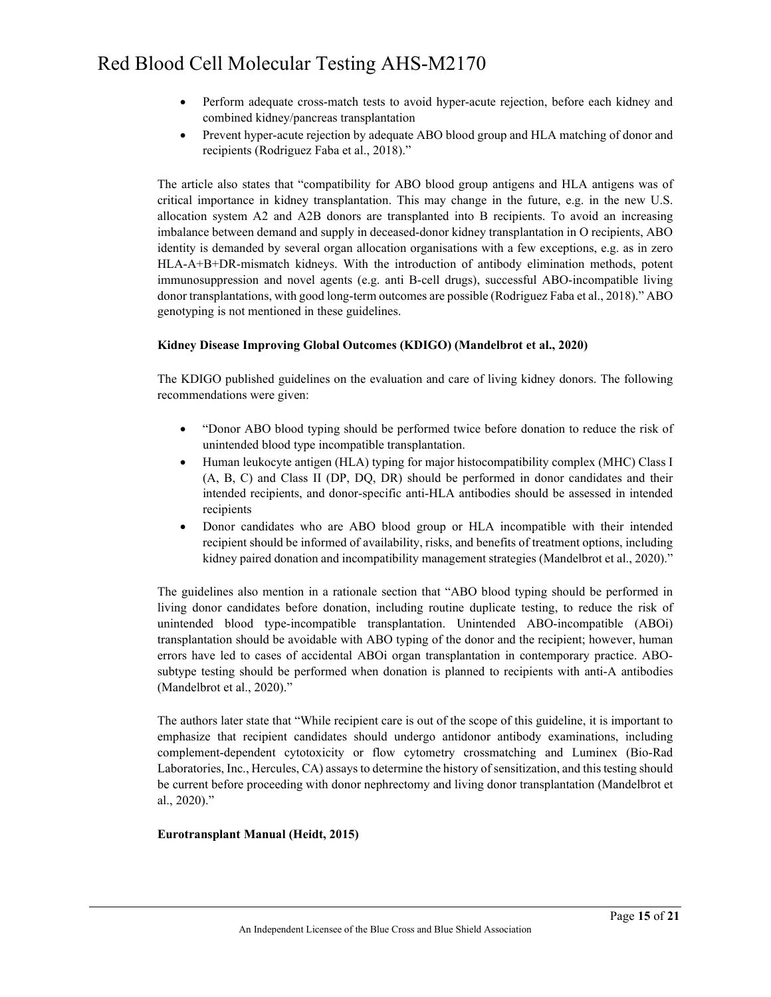- Perform adequate cross-match tests to avoid hyper-acute rejection, before each kidney and combined kidney/pancreas transplantation
- Prevent hyper-acute rejection by adequate ABO blood group and HLA matching of donor and recipients (Rodriguez Faba et al., 2018)."

The article also states that "compatibility for ABO blood group antigens and HLA antigens was of critical importance in kidney transplantation. This may change in the future, e.g. in the new U.S. allocation system A2 and A2B donors are transplanted into B recipients. To avoid an increasing imbalance between demand and supply in deceased-donor kidney transplantation in O recipients, ABO identity is demanded by several organ allocation organisations with a few exceptions, e.g. as in zero HLA-A+B+DR-mismatch kidneys. With the introduction of antibody elimination methods, potent immunosuppression and novel agents (e.g. anti B-cell drugs), successful ABO-incompatible living donor transplantations, with good long-term outcomes are possible (Rodriguez Faba et al., 2018)." ABO genotyping is not mentioned in these guidelines.

#### **Kidney Disease Improving Global Outcomes (KDIGO) (Mandelbrot et al., 2020)**

The KDIGO published guidelines on the evaluation and care of living kidney donors. The following recommendations were given:

- "Donor ABO blood typing should be performed twice before donation to reduce the risk of unintended blood type incompatible transplantation.
- Human leukocyte antigen (HLA) typing for major histocompatibility complex (MHC) Class I (A, B, C) and Class II (DP, DQ, DR) should be performed in donor candidates and their intended recipients, and donor-specific anti-HLA antibodies should be assessed in intended recipients
- Donor candidates who are ABO blood group or HLA incompatible with their intended recipient should be informed of availability, risks, and benefits of treatment options, including kidney paired donation and incompatibility management strategies (Mandelbrot et al., 2020)."

The guidelines also mention in a rationale section that "ABO blood typing should be performed in living donor candidates before donation, including routine duplicate testing, to reduce the risk of unintended blood type-incompatible transplantation. Unintended ABO-incompatible (ABOi) transplantation should be avoidable with ABO typing of the donor and the recipient; however, human errors have led to cases of accidental ABOi organ transplantation in contemporary practice. ABOsubtype testing should be performed when donation is planned to recipients with anti-A antibodies (Mandelbrot et al., 2020)."

The authors later state that "While recipient care is out of the scope of this guideline, it is important to emphasize that recipient candidates should undergo antidonor antibody examinations, including complement-dependent cytotoxicity or flow cytometry crossmatching and Luminex (Bio-Rad Laboratories, Inc., Hercules, CA) assays to determine the history of sensitization, and this testing should be current before proceeding with donor nephrectomy and living donor transplantation (Mandelbrot et al., 2020)."

#### **Eurotransplant Manual (Heidt, 2015)**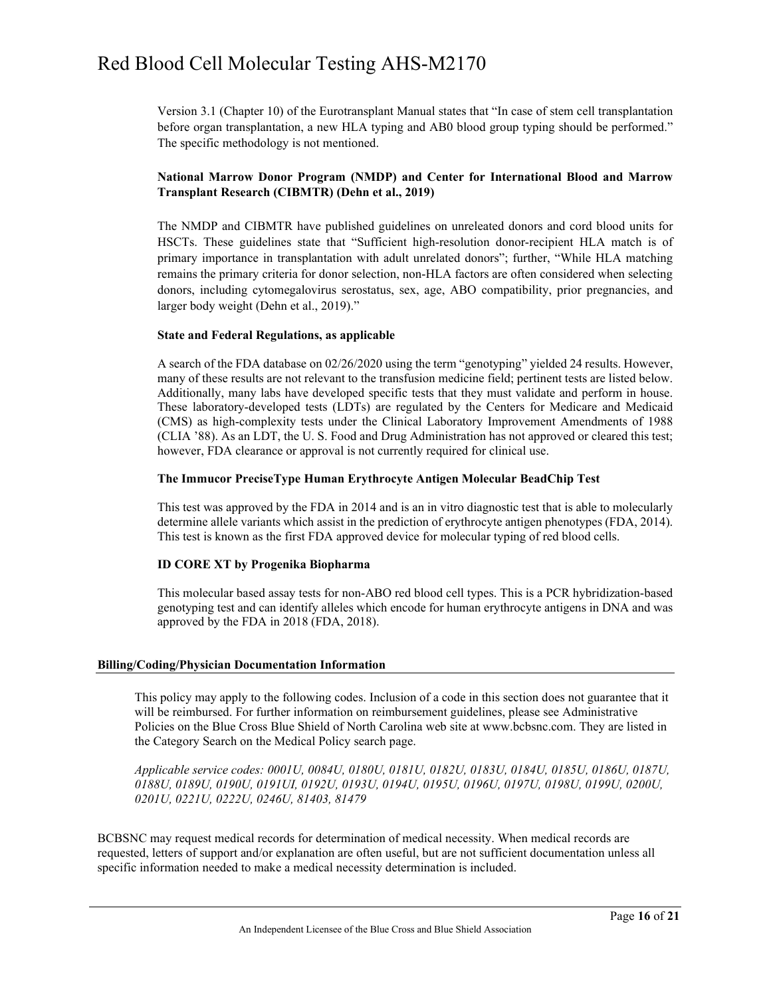Version 3.1 (Chapter 10) of the Eurotransplant Manual states that "In case of stem cell transplantation before organ transplantation, a new HLA typing and AB0 blood group typing should be performed." The specific methodology is not mentioned.

#### **National Marrow Donor Program (NMDP) and Center for International Blood and Marrow Transplant Research (CIBMTR) (Dehn et al., 2019)**

[The](https://www.mdedge.com/hematology-oncology/article/205002/transplantation/guidelines-update-donor-selection-criteria-hsct) NMDP and CIBMTR have published guidelines on unreleated donors and cord blood units for HSCTs. These guidelines state that "Sufficient high-resolution donor-recipient HLA match is of primary importance in transplantation with adult unrelated donors"; further, "While HLA matching remains the primary criteria for donor selection, non-HLA factors are often considered when selecting donors, including cytomegalovirus serostatus, sex, age, ABO compatibility, prior pregnancies, and larger body weight (Dehn et al., 2019)."

#### **State and Federal Regulations, as applicable**

A search of the FDA database on 02/26/2020 using the term "genotyping" yielded 24 results. However, many of these results are not relevant to the transfusion medicine field; pertinent tests are listed below. Additionally, many labs have developed specific tests that they must validate and perform in house. These laboratory-developed tests (LDTs) are regulated by the Centers for Medicare and Medicaid (CMS) as high-complexity tests under the Clinical Laboratory Improvement Amendments of 1988 (CLIA '88). As an LDT, the U. S. Food and Drug Administration has not approved or cleared this test; however, FDA clearance or approval is not currently required for clinical use.

#### **The Immucor PreciseType Human Erythrocyte Antigen Molecular BeadChip Test**

This test was approved by the FDA in 2014 and is an in vitro diagnostic test that is able to molecularly determine allele variants which assist in the prediction of erythrocyte antigen phenotypes (FDA, 2014). This test is known as the first FDA approved device for molecular typing of red blood cells.

#### **ID CORE XT by Progenika Biopharma**

This molecular based assay tests for non-ABO red blood cell types. This is a PCR hybridization-based genotyping test and can identify alleles which encode for human erythrocyte antigens in DNA and was approved by the FDA in 2018 (FDA, 2018).

#### **Billing/Coding/Physician Documentation Information**

This policy may apply to the following codes. Inclusion of a code in this section does not guarantee that it will be reimbursed. For further information on reimbursement guidelines, please see Administrative Policies on the Blue Cross Blue Shield of North Carolina web site at www.bcbsnc.com. They are listed in the Category Search on the Medical Policy search page.

*Applicable service codes: 0001U, 0084U, 0180U, 0181U, 0182U, 0183U, 0184U, 0185U, 0186U, 0187U, 0188U, 0189U, 0190U, 0191UI, 0192U, 0193U, 0194U, 0195U, 0196U, 0197U, 0198U, 0199U, 0200U, 0201U, 0221U, 0222U, 0246U, 81403, 81479*

BCBSNC may request medical records for determination of medical necessity. When medical records are requested, letters of support and/or explanation are often useful, but are not sufficient documentation unless all specific information needed to make a medical necessity determination is included.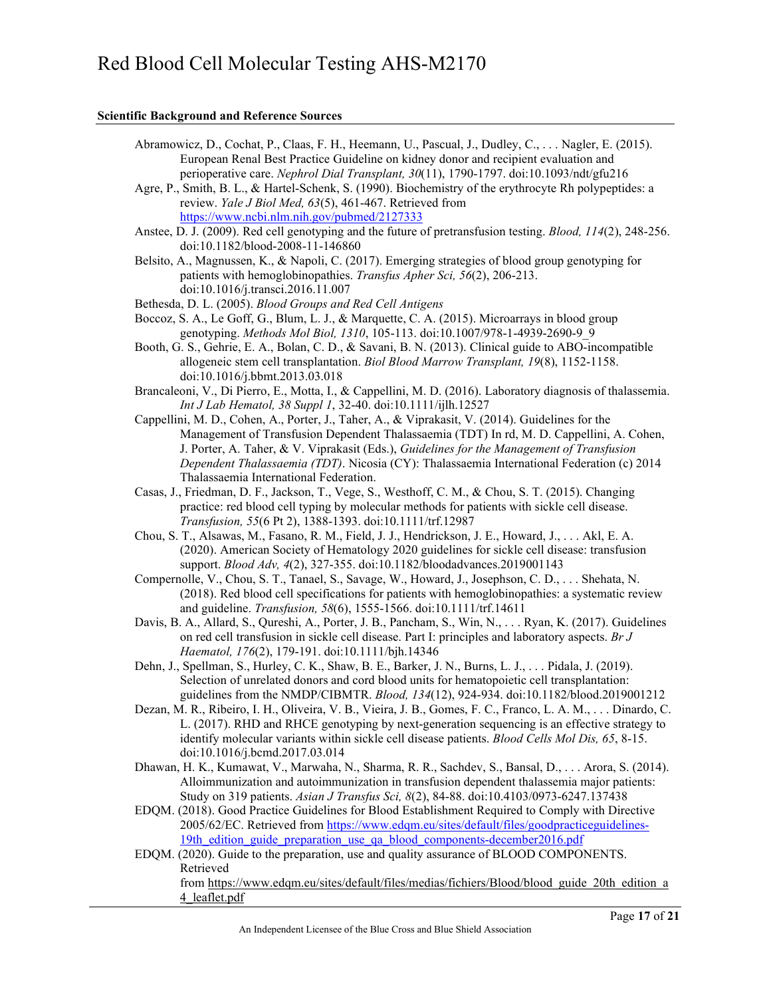#### **Scientific Background and Reference Sources**

- Abramowicz, D., Cochat, P., Claas, F. H., Heemann, U., Pascual, J., Dudley, C., . . . Nagler, E. (2015). European Renal Best Practice Guideline on kidney donor and recipient evaluation and perioperative care. *Nephrol Dial Transplant, 30*(11), 1790-1797. doi:10.1093/ndt/gfu216
- Agre, P., Smith, B. L., & Hartel-Schenk, S. (1990). Biochemistry of the erythrocyte Rh polypeptides: a review. *Yale J Biol Med, 63*(5), 461-467. Retrieved from <https://www.ncbi.nlm.nih.gov/pubmed/2127333>
- Anstee, D. J. (2009). Red cell genotyping and the future of pretransfusion testing. *Blood, 114*(2), 248-256. doi:10.1182/blood-2008-11-146860
- Belsito, A., Magnussen, K., & Napoli, C. (2017). Emerging strategies of blood group genotyping for patients with hemoglobinopathies. *Transfus Apher Sci, 56*(2), 206-213. doi:10.1016/j.transci.2016.11.007
- Bethesda, D. L. (2005). *Blood Groups and Red Cell Antigens*
- Boccoz, S. A., Le Goff, G., Blum, L. J., & Marquette, C. A. (2015). Microarrays in blood group genotyping. *Methods Mol Biol, 1310*, 105-113. doi:10.1007/978-1-4939-2690-9\_9
- Booth, G. S., Gehrie, E. A., Bolan, C. D., & Savani, B. N. (2013). Clinical guide to ABO-incompatible allogeneic stem cell transplantation. *Biol Blood Marrow Transplant, 19*(8), 1152-1158. doi:10.1016/j.bbmt.2013.03.018
- Brancaleoni, V., Di Pierro, E., Motta, I., & Cappellini, M. D. (2016). Laboratory diagnosis of thalassemia. *Int J Lab Hematol, 38 Suppl 1*, 32-40. doi:10.1111/ijlh.12527
- Cappellini, M. D., Cohen, A., Porter, J., Taher, A., & Viprakasit, V. (2014). Guidelines for the Management of Transfusion Dependent Thalassaemia (TDT) In rd, M. D. Cappellini, A. Cohen, J. Porter, A. Taher, & V. Viprakasit (Eds.), *Guidelines for the Management of Transfusion Dependent Thalassaemia (TDT)*. Nicosia (CY): Thalassaemia International Federation (c) 2014 Thalassaemia International Federation.
- Casas, J., Friedman, D. F., Jackson, T., Vege, S., Westhoff, C. M., & Chou, S. T. (2015). Changing practice: red blood cell typing by molecular methods for patients with sickle cell disease. *Transfusion, 55*(6 Pt 2), 1388-1393. doi:10.1111/trf.12987
- Chou, S. T., Alsawas, M., Fasano, R. M., Field, J. J., Hendrickson, J. E., Howard, J., . . . Akl, E. A. (2020). American Society of Hematology 2020 guidelines for sickle cell disease: transfusion support. *Blood Adv, 4*(2), 327-355. doi:10.1182/bloodadvances.2019001143
- Compernolle, V., Chou, S. T., Tanael, S., Savage, W., Howard, J., Josephson, C. D., . . . Shehata, N. (2018). Red blood cell specifications for patients with hemoglobinopathies: a systematic review and guideline. *Transfusion, 58*(6), 1555-1566. doi:10.1111/trf.14611
- Davis, B. A., Allard, S., Qureshi, A., Porter, J. B., Pancham, S., Win, N., . . . Ryan, K. (2017). Guidelines on red cell transfusion in sickle cell disease. Part I: principles and laboratory aspects. *Br J Haematol, 176*(2), 179-191. doi:10.1111/bjh.14346
- Dehn, J., Spellman, S., Hurley, C. K., Shaw, B. E., Barker, J. N., Burns, L. J., . . . Pidala, J. (2019). Selection of unrelated donors and cord blood units for hematopoietic cell transplantation: guidelines from the NMDP/CIBMTR. *Blood, 134*(12), 924-934. doi:10.1182/blood.2019001212
- Dezan, M. R., Ribeiro, I. H., Oliveira, V. B., Vieira, J. B., Gomes, F. C., Franco, L. A. M., . . . Dinardo, C. L. (2017). RHD and RHCE genotyping by next-generation sequencing is an effective strategy to identify molecular variants within sickle cell disease patients. *Blood Cells Mol Dis, 65*, 8-15. doi:10.1016/j.bcmd.2017.03.014
- Dhawan, H. K., Kumawat, V., Marwaha, N., Sharma, R. R., Sachdev, S., Bansal, D., . . . Arora, S. (2014). Alloimmunization and autoimmunization in transfusion dependent thalassemia major patients: Study on 319 patients. *Asian J Transfus Sci, 8*(2), 84-88. doi:10.4103/0973-6247.137438
- EDQM. (2018). Good Practice Guidelines for Blood Establishment Required to Comply with Directive 2005/62/EC. Retrieved fro[m https://www.edqm.eu/sites/default/files/goodpracticeguidelines-](https://www.edqm.eu/sites/default/files/goodpracticeguidelines-19th_edition_guide_preparation_use_qa_blood_components-december2016.pdf)19th edition guide preparation use qa blood components-december2016.pdf
- EDQM. (2020). Guide to the preparation, use and quality assurance of BLOOD COMPONENTS. Retrieved from [https://www.edqm.eu/sites/default/files/medias/fichiers/Blood/blood\\_guide\\_20th\\_edition\\_a](https://www.edqm.eu/sites/default/files/medias/fichiers/Blood/blood_guide_20th_edition_a4_leaflet.pdf) 4 leaflet.pdf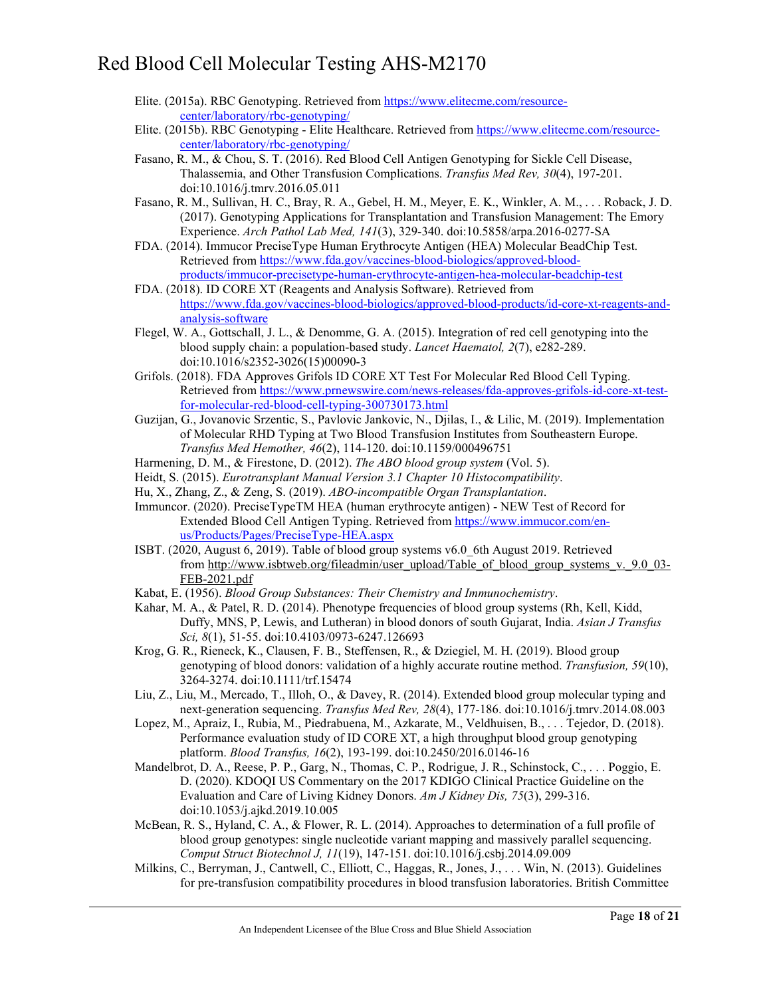- Elite. (2015a). RBC Genotyping. Retrieved from [https://www.elitecme.com/resource](https://www.elitecme.com/resource-center/laboratory/rbc-genotyping/)[center/laboratory/rbc-genotyping/](https://www.elitecme.com/resource-center/laboratory/rbc-genotyping/)
- Elite. (2015b). RBC Genotyping Elite Healthcare. Retrieved fro[m https://www.elitecme.com/resource](https://www.elitecme.com/resource-center/laboratory/rbc-genotyping/)[center/laboratory/rbc-genotyping/](https://www.elitecme.com/resource-center/laboratory/rbc-genotyping/)
- Fasano, R. M., & Chou, S. T. (2016). Red Blood Cell Antigen Genotyping for Sickle Cell Disease, Thalassemia, and Other Transfusion Complications. *Transfus Med Rev, 30*(4), 197-201. doi:10.1016/j.tmrv.2016.05.011
- Fasano, R. M., Sullivan, H. C., Bray, R. A., Gebel, H. M., Meyer, E. K., Winkler, A. M., . . . Roback, J. D. (2017). Genotyping Applications for Transplantation and Transfusion Management: The Emory Experience. *Arch Pathol Lab Med, 141*(3), 329-340. doi:10.5858/arpa.2016-0277-SA
- FDA. (2014). Immucor PreciseType Human Erythrocyte Antigen (HEA) Molecular BeadChip Test. Retrieved from [https://www.fda.gov/vaccines-blood-biologics/approved-blood](https://www.fda.gov/vaccines-blood-biologics/approved-blood-products/immucor-precisetype-human-erythrocyte-antigen-hea-molecular-beadchip-test)[products/immucor-precisetype-human-erythrocyte-antigen-hea-molecular-beadchip-test](https://www.fda.gov/vaccines-blood-biologics/approved-blood-products/immucor-precisetype-human-erythrocyte-antigen-hea-molecular-beadchip-test)
- FDA. (2018). ID CORE XT (Reagents and Analysis Software). Retrieved from [https://www.fda.gov/vaccines-blood-biologics/approved-blood-products/id-core-xt-reagents-and](https://www.fda.gov/vaccines-blood-biologics/approved-blood-products/id-core-xt-reagents-and-analysis-software)[analysis-software](https://www.fda.gov/vaccines-blood-biologics/approved-blood-products/id-core-xt-reagents-and-analysis-software)
- Flegel, W. A., Gottschall, J. L., & Denomme, G. A. (2015). Integration of red cell genotyping into the blood supply chain: a population-based study. *Lancet Haematol, 2*(7), e282-289. doi:10.1016/s2352-3026(15)00090-3
- Grifols. (2018). FDA Approves Grifols ID CORE XT Test For Molecular Red Blood Cell Typing. Retrieved from [https://www.prnewswire.com/news-releases/fda-approves-grifols-id-core-xt-test](https://www.prnewswire.com/news-releases/fda-approves-grifols-id-core-xt-test-for-molecular-red-blood-cell-typing-300730173.html)[for-molecular-red-blood-cell-typing-300730173.html](https://www.prnewswire.com/news-releases/fda-approves-grifols-id-core-xt-test-for-molecular-red-blood-cell-typing-300730173.html)
- Guzijan, G., Jovanovic Srzentic, S., Pavlovic Jankovic, N., Djilas, I., & Lilic, M. (2019). Implementation of Molecular RHD Typing at Two Blood Transfusion Institutes from Southeastern Europe. *Transfus Med Hemother, 46*(2), 114-120. doi:10.1159/000496751
- Harmening, D. M., & Firestone, D. (2012). *The ABO blood group system* (Vol. 5).
- Heidt, S. (2015). *Eurotransplant Manual Version 3.1 Chapter 10 Histocompatibility*.
- Hu, X., Zhang, Z., & Zeng, S. (2019). *ABO-incompatible Organ Transplantation*.
- Immuncor. (2020). PreciseTypeTM HEA (human erythrocyte antigen) NEW Test of Record for Extended Blood Cell Antigen Typing. Retrieved from [https://www.immucor.com/en](https://www.immucor.com/en-us/Products/Pages/PreciseType-HEA.aspx)[us/Products/Pages/PreciseType-HEA.aspx](https://www.immucor.com/en-us/Products/Pages/PreciseType-HEA.aspx)
- ISBT. (2020, August 6, 2019). Table of blood group systems v6.0\_6th August 2019. Retrieved from [http://www.isbtweb.org/fileadmin/user\\_upload/Table\\_of\\_blood\\_group\\_systems\\_v.\\_9.0\\_03-](http://www.isbtweb.org/fileadmin/user_upload/Table_of_blood_group_systems_v._9.0_03-FEB-2021.pdf) [FEB-2021.pdf](http://www.isbtweb.org/fileadmin/user_upload/Table_of_blood_group_systems_v._9.0_03-FEB-2021.pdf)
- Kabat, E. (1956). *Blood Group Substances: Their Chemistry and Immunochemistry*.
- Kahar, M. A., & Patel, R. D. (2014). Phenotype frequencies of blood group systems (Rh, Kell, Kidd, Duffy, MNS, P, Lewis, and Lutheran) in blood donors of south Gujarat, India. *Asian J Transfus Sci, 8*(1), 51-55. doi:10.4103/0973-6247.126693
- Krog, G. R., Rieneck, K., Clausen, F. B., Steffensen, R., & Dziegiel, M. H. (2019). Blood group genotyping of blood donors: validation of a highly accurate routine method. *Transfusion, 59*(10), 3264-3274. doi:10.1111/trf.15474
- Liu, Z., Liu, M., Mercado, T., Illoh, O., & Davey, R. (2014). Extended blood group molecular typing and next-generation sequencing. *Transfus Med Rev, 28*(4), 177-186. doi:10.1016/j.tmrv.2014.08.003
- Lopez, M., Apraiz, I., Rubia, M., Piedrabuena, M., Azkarate, M., Veldhuisen, B., . . . Tejedor, D. (2018). Performance evaluation study of ID CORE XT, a high throughput blood group genotyping platform. *Blood Transfus, 16*(2), 193-199. doi:10.2450/2016.0146-16
- Mandelbrot, D. A., Reese, P. P., Garg, N., Thomas, C. P., Rodrigue, J. R., Schinstock, C., . . . Poggio, E. D. (2020). KDOQI US Commentary on the 2017 KDIGO Clinical Practice Guideline on the Evaluation and Care of Living Kidney Donors. *Am J Kidney Dis, 75*(3), 299-316. doi:10.1053/j.ajkd.2019.10.005
- McBean, R. S., Hyland, C. A., & Flower, R. L. (2014). Approaches to determination of a full profile of blood group genotypes: single nucleotide variant mapping and massively parallel sequencing. *Comput Struct Biotechnol J, 11*(19), 147-151. doi:10.1016/j.csbj.2014.09.009
- Milkins, C., Berryman, J., Cantwell, C., Elliott, C., Haggas, R., Jones, J., . . . Win, N. (2013). Guidelines for pre-transfusion compatibility procedures in blood transfusion laboratories. British Committee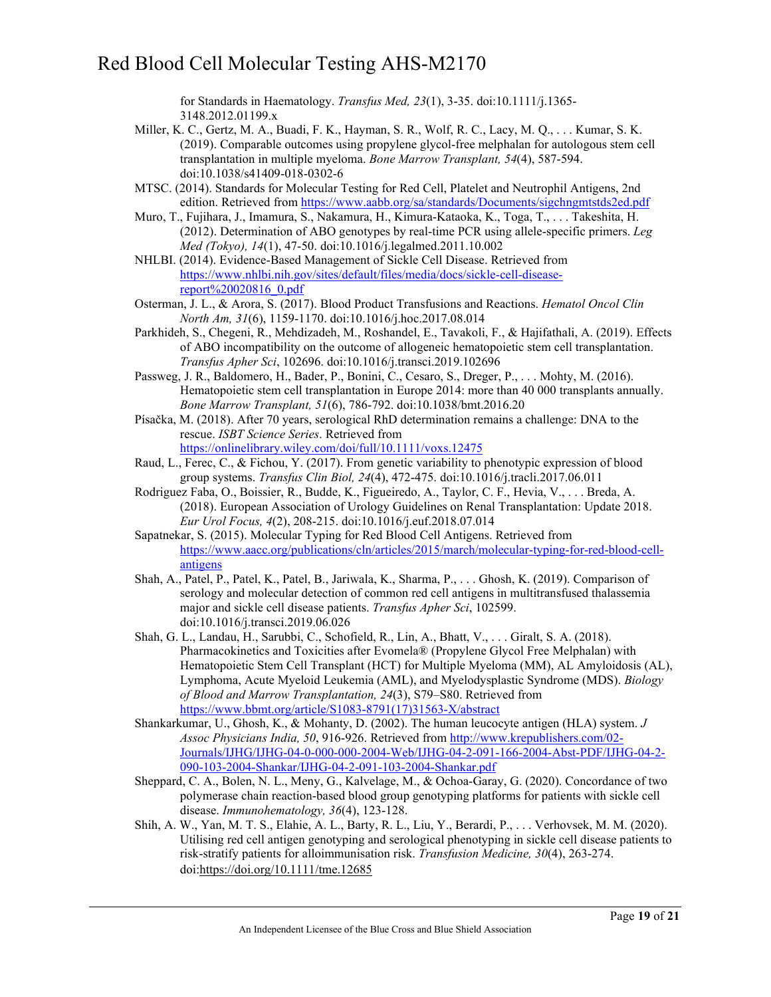for Standards in Haematology. *Transfus Med, 23*(1), 3-35. doi:10.1111/j.1365- 3148.2012.01199.x

- Miller, K. C., Gertz, M. A., Buadi, F. K., Hayman, S. R., Wolf, R. C., Lacy, M. Q., . . . Kumar, S. K. (2019). Comparable outcomes using propylene glycol-free melphalan for autologous stem cell transplantation in multiple myeloma. *Bone Marrow Transplant, 54*(4), 587-594. doi:10.1038/s41409-018-0302-6
- MTSC. (2014). Standards for Molecular Testing for Red Cell, Platelet and Neutrophil Antigens, 2nd edition. Retrieved from<https://www.aabb.org/sa/standards/Documents/sigchngmtstds2ed.pdf>
- Muro, T., Fujihara, J., Imamura, S., Nakamura, H., Kimura-Kataoka, K., Toga, T., . . . Takeshita, H. (2012). Determination of ABO genotypes by real-time PCR using allele-specific primers. *Leg Med (Tokyo), 14*(1), 47-50. doi:10.1016/j.legalmed.2011.10.002
- NHLBI. (2014). Evidence-Based Management of Sickle Cell Disease. Retrieved from [https://www.nhlbi.nih.gov/sites/default/files/media/docs/sickle-cell-disease](https://www.nhlbi.nih.gov/sites/default/files/media/docs/sickle-cell-disease-report%20020816_0.pdf)[report%20020816\\_0.pdf](https://www.nhlbi.nih.gov/sites/default/files/media/docs/sickle-cell-disease-report%20020816_0.pdf)
- Osterman, J. L., & Arora, S. (2017). Blood Product Transfusions and Reactions. *Hematol Oncol Clin North Am, 31*(6), 1159-1170. doi:10.1016/j.hoc.2017.08.014
- Parkhideh, S., Chegeni, R., Mehdizadeh, M., Roshandel, E., Tavakoli, F., & Hajifathali, A. (2019). Effects of ABO incompatibility on the outcome of allogeneic hematopoietic stem cell transplantation. *Transfus Apher Sci*, 102696. doi:10.1016/j.transci.2019.102696
- Passweg, J. R., Baldomero, H., Bader, P., Bonini, C., Cesaro, S., Dreger, P., . . . Mohty, M. (2016). Hematopoietic stem cell transplantation in Europe 2014: more than 40 000 transplants annually. *Bone Marrow Transplant, 51*(6), 786-792. doi:10.1038/bmt.2016.20
- Písačka, M. (2018). After 70 years, serological RhD determination remains a challenge: DNA to the rescue. *ISBT Science Series*. Retrieved from <https://onlinelibrary.wiley.com/doi/full/10.1111/voxs.12475>
- Raud, L., Ferec, C., & Fichou, Y. (2017). From genetic variability to phenotypic expression of blood group systems. *Transfus Clin Biol, 24*(4), 472-475. doi:10.1016/j.tracli.2017.06.011
- Rodriguez Faba, O., Boissier, R., Budde, K., Figueiredo, A., Taylor, C. F., Hevia, V., . . . Breda, A. (2018). European Association of Urology Guidelines on Renal Transplantation: Update 2018. *Eur Urol Focus, 4*(2), 208-215. doi:10.1016/j.euf.2018.07.014
- Sapatnekar, S. (2015). Molecular Typing for Red Blood Cell Antigens. Retrieved from [https://www.aacc.org/publications/cln/articles/2015/march/molecular-typing-for-red-blood-cell](https://www.aacc.org/publications/cln/articles/2015/march/molecular-typing-for-red-blood-cell-antigens)[antigens](https://www.aacc.org/publications/cln/articles/2015/march/molecular-typing-for-red-blood-cell-antigens)
- Shah, A., Patel, P., Patel, K., Patel, B., Jariwala, K., Sharma, P., . . . Ghosh, K. (2019). Comparison of serology and molecular detection of common red cell antigens in multitransfused thalassemia major and sickle cell disease patients. *Transfus Apher Sci*, 102599. doi:10.1016/j.transci.2019.06.026
- Shah, G. L., Landau, H., Sarubbi, C., Schofield, R., Lin, A., Bhatt, V., . . . Giralt, S. A. (2018). Pharmacokinetics and Toxicities after Evomela® (Propylene Glycol Free Melphalan) with Hematopoietic Stem Cell Transplant (HCT) for Multiple Myeloma (MM), AL Amyloidosis (AL), Lymphoma, Acute Myeloid Leukemia (AML), and Myelodysplastic Syndrome (MDS). *Biology of Blood and Marrow Transplantation, 24*(3), S79–S80. Retrieved from [https://www.bbmt.org/article/S1083-8791\(17\)31563-X/abstract](https://www.bbmt.org/article/S1083-8791(17)31563-X/abstract)
- Shankarkumar, U., Ghosh, K., & Mohanty, D. (2002). The human leucocyte antigen (HLA) system. *J Assoc Physicians India, 50*, 916-926. Retrieved fro[m http://www.krepublishers.com/02-](http://www.krepublishers.com/02-Journals/IJHG/IJHG-04-0-000-000-2004-Web/IJHG-04-2-091-166-2004-Abst-PDF/IJHG-04-2-090-103-2004-Shankar/IJHG-04-2-091-103-2004-Shankar.pdf) [Journals/IJHG/IJHG-04-0-000-000-2004-Web/IJHG-04-2-091-166-2004-Abst-PDF/IJHG-04-2-](http://www.krepublishers.com/02-Journals/IJHG/IJHG-04-0-000-000-2004-Web/IJHG-04-2-091-166-2004-Abst-PDF/IJHG-04-2-090-103-2004-Shankar/IJHG-04-2-091-103-2004-Shankar.pdf) [090-103-2004-Shankar/IJHG-04-2-091-103-2004-Shankar.pdf](http://www.krepublishers.com/02-Journals/IJHG/IJHG-04-0-000-000-2004-Web/IJHG-04-2-091-166-2004-Abst-PDF/IJHG-04-2-090-103-2004-Shankar/IJHG-04-2-091-103-2004-Shankar.pdf)
- Sheppard, C. A., Bolen, N. L., Meny, G., Kalvelage, M., & Ochoa-Garay, G. (2020). Concordance of two polymerase chain reaction-based blood group genotyping platforms for patients with sickle cell disease. *Immunohematology, 36*(4), 123-128.
- Shih, A. W., Yan, M. T. S., Elahie, A. L., Barty, R. L., Liu, Y., Berardi, P., . . . Verhovsek, M. M. (2020). Utilising red cell antigen genotyping and serological phenotyping in sickle cell disease patients to risk-stratify patients for alloimmunisation risk. *Transfusion Medicine, 30*(4), 263-274. doi[:https://doi.org/10.1111/tme.12685](https://doi.org/10.1111/tme.12685)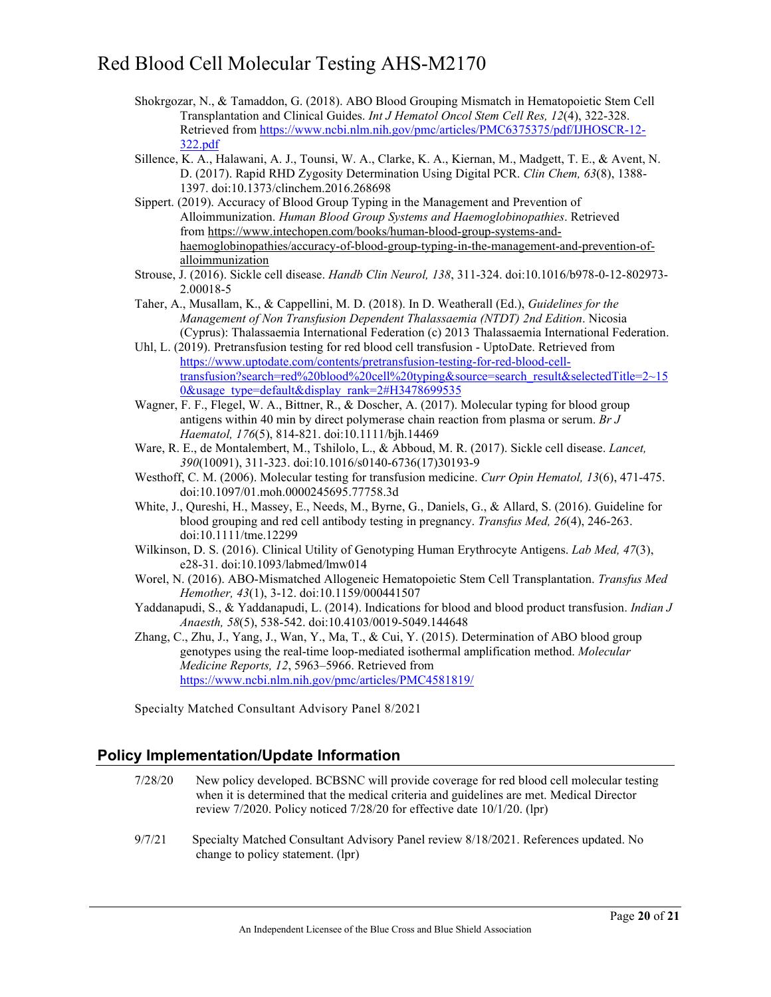- Shokrgozar, N., & Tamaddon, G. (2018). ABO Blood Grouping Mismatch in Hematopoietic Stem Cell Transplantation and Clinical Guides. *Int J Hematol Oncol Stem Cell Res, 12*(4), 322-328. Retrieved from [https://www.ncbi.nlm.nih.gov/pmc/articles/PMC6375375/pdf/IJHOSCR-12-](https://www.ncbi.nlm.nih.gov/pmc/articles/PMC6375375/pdf/IJHOSCR-12-322.pdf) [322.pdf](https://www.ncbi.nlm.nih.gov/pmc/articles/PMC6375375/pdf/IJHOSCR-12-322.pdf)
- Sillence, K. A., Halawani, A. J., Tounsi, W. A., Clarke, K. A., Kiernan, M., Madgett, T. E., & Avent, N. D. (2017). Rapid RHD Zygosity Determination Using Digital PCR. *Clin Chem, 63*(8), 1388- 1397. doi:10.1373/clinchem.2016.268698
- Sippert. (2019). Accuracy of Blood Group Typing in the Management and Prevention of Alloimmunization. *Human Blood Group Systems and Haemoglobinopathies*. Retrieved from [https://www.intechopen.com/books/human-blood-group-systems-and](https://www.intechopen.com/books/human-blood-group-systems-and-haemoglobinopathies/accuracy-of-blood-group-typing-in-the-management-and-prevention-of-alloimmunization)[haemoglobinopathies/accuracy-of-blood-group-typing-in-the-management-and-prevention-of](https://www.intechopen.com/books/human-blood-group-systems-and-haemoglobinopathies/accuracy-of-blood-group-typing-in-the-management-and-prevention-of-alloimmunization)[alloimmunization](https://www.intechopen.com/books/human-blood-group-systems-and-haemoglobinopathies/accuracy-of-blood-group-typing-in-the-management-and-prevention-of-alloimmunization)
- Strouse, J. (2016). Sickle cell disease. *Handb Clin Neurol, 138*, 311-324. doi:10.1016/b978-0-12-802973- 2.00018-5
- Taher, A., Musallam, K., & Cappellini, M. D. (2018). In D. Weatherall (Ed.), *Guidelines for the Management of Non Transfusion Dependent Thalassaemia (NTDT) 2nd Edition*. Nicosia (Cyprus): Thalassaemia International Federation (c) 2013 Thalassaemia International Federation.
- Uhl, L. (2019). Pretransfusion testing for red blood cell transfusion UptoDate. Retrieved from [https://www.uptodate.com/contents/pretransfusion-testing-for-red-blood-cell](https://www.uptodate.com/contents/pretransfusion-testing-for-red-blood-cell-transfusion?search=red%20blood%20cell%20typing&source=search_result&selectedTitle=2%7E150&usage_type=default&display_rank=2#H3478699535)[transfusion?search=red%20blood%20cell%20typing&source=search\\_result&selectedTitle=2~15](https://www.uptodate.com/contents/pretransfusion-testing-for-red-blood-cell-transfusion?search=red%20blood%20cell%20typing&source=search_result&selectedTitle=2%7E150&usage_type=default&display_rank=2#H3478699535) [0&usage\\_type=default&display\\_rank=2#H3478699535](https://www.uptodate.com/contents/pretransfusion-testing-for-red-blood-cell-transfusion?search=red%20blood%20cell%20typing&source=search_result&selectedTitle=2%7E150&usage_type=default&display_rank=2#H3478699535)
- Wagner, F. F., Flegel, W. A., Bittner, R., & Doscher, A. (2017). Molecular typing for blood group antigens within 40 min by direct polymerase chain reaction from plasma or serum. *Br J Haematol, 176*(5), 814-821. doi:10.1111/bjh.14469
- Ware, R. E., de Montalembert, M., Tshilolo, L., & Abboud, M. R. (2017). Sickle cell disease. *Lancet, 390*(10091), 311-323. doi:10.1016/s0140-6736(17)30193-9
- Westhoff, C. M. (2006). Molecular testing for transfusion medicine. *Curr Opin Hematol, 13*(6), 471-475. doi:10.1097/01.moh.0000245695.77758.3d
- White, J., Qureshi, H., Massey, E., Needs, M., Byrne, G., Daniels, G., & Allard, S. (2016). Guideline for blood grouping and red cell antibody testing in pregnancy. *Transfus Med, 26*(4), 246-263. doi:10.1111/tme.12299
- Wilkinson, D. S. (2016). Clinical Utility of Genotyping Human Erythrocyte Antigens. *Lab Med, 47*(3), e28-31. doi:10.1093/labmed/lmw014
- Worel, N. (2016). ABO-Mismatched Allogeneic Hematopoietic Stem Cell Transplantation. *Transfus Med Hemother, 43*(1), 3-12. doi:10.1159/000441507
- Yaddanapudi, S., & Yaddanapudi, L. (2014). Indications for blood and blood product transfusion. *Indian J Anaesth, 58*(5), 538-542. doi:10.4103/0019-5049.144648

Zhang, C., Zhu, J., Yang, J., Wan, Y., Ma, T., & Cui, Y. (2015). Determination of ABO blood group genotypes using the real-time loop-mediated isothermal amplification method. *Molecular Medicine Reports, 12*, 5963–5966. Retrieved from <https://www.ncbi.nlm.nih.gov/pmc/articles/PMC4581819/>

Specialty Matched Consultant Advisory Panel 8/2021

### **Policy Implementation/Update Information**

| 7/28/20 | New policy developed. BCBSNC will provide coverage for red blood cell molecular testing<br>when it is determined that the medical criteria and guidelines are met. Medical Director<br>review $7/2020$ . Policy noticed $7/28/20$ for effective date $10/1/20$ . (lpr) |
|---------|------------------------------------------------------------------------------------------------------------------------------------------------------------------------------------------------------------------------------------------------------------------------|
| 9/7/21  | Specialty Matched Consultant Advisory Panel review 8/18/2021. References updated. No<br>change to policy statement. (lpr)                                                                                                                                              |